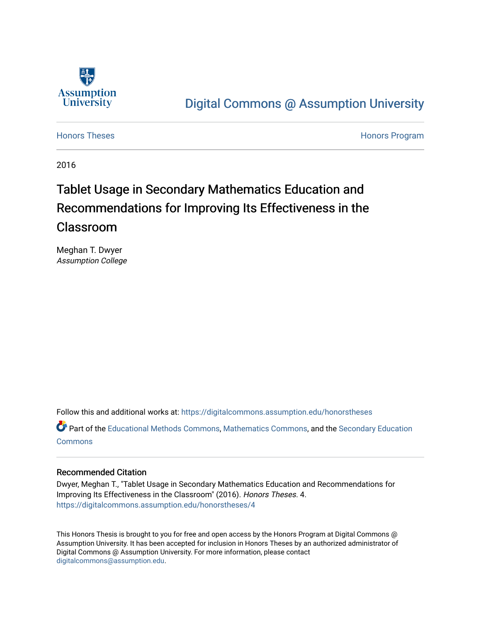

## [Digital Commons @ Assumption University](https://digitalcommons.assumption.edu/)

[Honors Theses](https://digitalcommons.assumption.edu/honorstheses) **Honors** Program

2016

# Tablet Usage in Secondary Mathematics Education and Recommendations for Improving Its Effectiveness in the Classroom

Meghan T. Dwyer Assumption College

Follow this and additional works at: [https://digitalcommons.assumption.edu/honorstheses](https://digitalcommons.assumption.edu/honorstheses?utm_source=digitalcommons.assumption.edu%2Fhonorstheses%2F4&utm_medium=PDF&utm_campaign=PDFCoverPages)

Part of the [Educational Methods Commons,](http://network.bepress.com/hgg/discipline/1227?utm_source=digitalcommons.assumption.edu%2Fhonorstheses%2F4&utm_medium=PDF&utm_campaign=PDFCoverPages) [Mathematics Commons](http://network.bepress.com/hgg/discipline/174?utm_source=digitalcommons.assumption.edu%2Fhonorstheses%2F4&utm_medium=PDF&utm_campaign=PDFCoverPages), and the [Secondary Education](http://network.bepress.com/hgg/discipline/1382?utm_source=digitalcommons.assumption.edu%2Fhonorstheses%2F4&utm_medium=PDF&utm_campaign=PDFCoverPages) **[Commons](http://network.bepress.com/hgg/discipline/1382?utm_source=digitalcommons.assumption.edu%2Fhonorstheses%2F4&utm_medium=PDF&utm_campaign=PDFCoverPages)** 

#### Recommended Citation

Dwyer, Meghan T., "Tablet Usage in Secondary Mathematics Education and Recommendations for Improving Its Effectiveness in the Classroom" (2016). Honors Theses. 4. [https://digitalcommons.assumption.edu/honorstheses/4](https://digitalcommons.assumption.edu/honorstheses/4?utm_source=digitalcommons.assumption.edu%2Fhonorstheses%2F4&utm_medium=PDF&utm_campaign=PDFCoverPages) 

This Honors Thesis is brought to you for free and open access by the Honors Program at Digital Commons @ Assumption University. It has been accepted for inclusion in Honors Theses by an authorized administrator of Digital Commons @ Assumption University. For more information, please contact [digitalcommons@assumption.edu](mailto:digitalcommons@assumption.edu).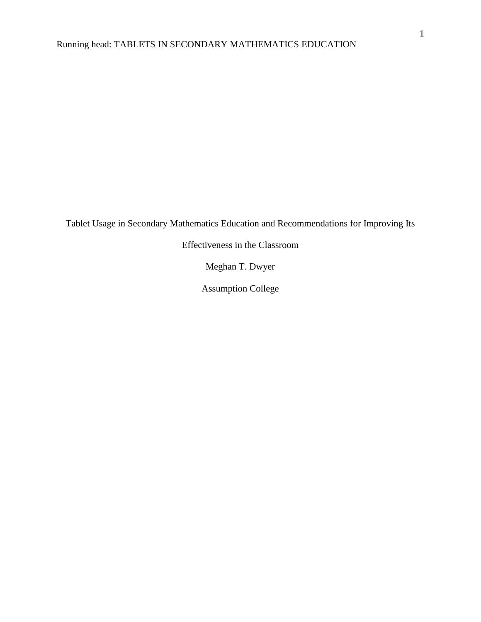Tablet Usage in Secondary Mathematics Education and Recommendations for Improving Its

Effectiveness in the Classroom

Meghan T. Dwyer

Assumption College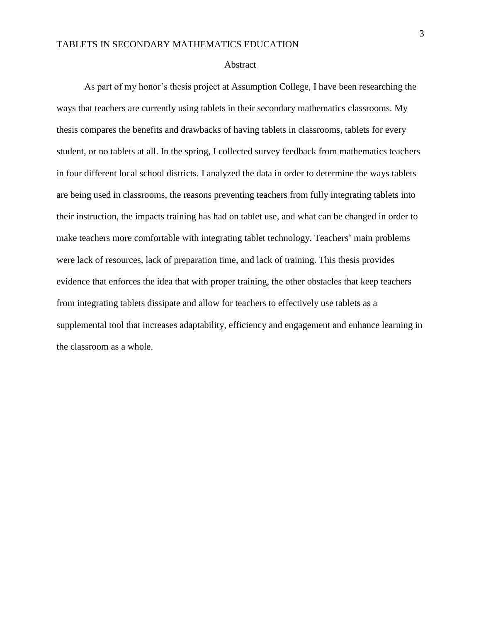#### Abstract

As part of my honor's thesis project at Assumption College, I have been researching the ways that teachers are currently using tablets in their secondary mathematics classrooms. My thesis compares the benefits and drawbacks of having tablets in classrooms, tablets for every student, or no tablets at all. In the spring, I collected survey feedback from mathematics teachers in four different local school districts. I analyzed the data in order to determine the ways tablets are being used in classrooms, the reasons preventing teachers from fully integrating tablets into their instruction, the impacts training has had on tablet use, and what can be changed in order to make teachers more comfortable with integrating tablet technology. Teachers' main problems were lack of resources, lack of preparation time, and lack of training. This thesis provides evidence that enforces the idea that with proper training, the other obstacles that keep teachers from integrating tablets dissipate and allow for teachers to effectively use tablets as a supplemental tool that increases adaptability, efficiency and engagement and enhance learning in the classroom as a whole.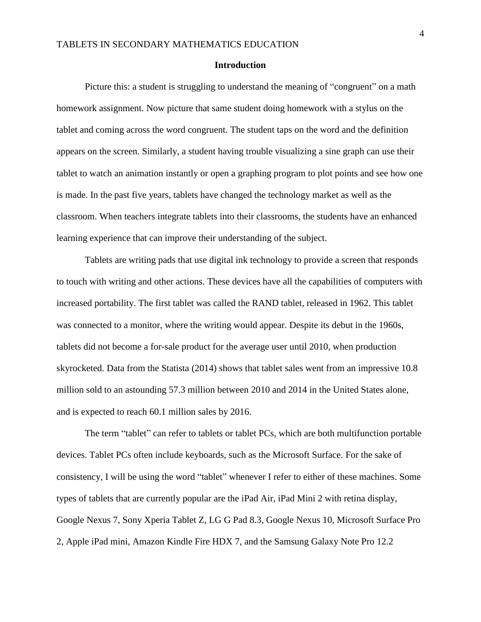#### **Introduction**

Picture this: a student is struggling to understand the meaning of "congruent" on a math homework assignment. Now picture that same student doing homework with a stylus on the tablet and coming across the word congruent. The student taps on the word and the definition appears on the screen. Similarly, a student having trouble visualizing a sine graph can use their tablet to watch an animation instantly or open a graphing program to plot points and see how one is made. In the past five years, tablets have changed the technology market as well as the classroom. When teachers integrate tablets into their classrooms, the students have an enhanced learning experience that can improve their understanding of the subject.

Tablets are writing pads that use digital ink technology to provide a screen that responds to touch with writing and other actions. These devices have all the capabilities of computers with increased portability. The first tablet was called the RAND tablet, released in 1962. This tablet was connected to a monitor, where the writing would appear. Despite its debut in the 1960s, tablets did not become a for-sale product for the average user until 2010, when production skyrocketed. Data from the Statista (2014) shows that tablet sales went from an impressive 10.8 million sold to an astounding 57.3 million between 2010 and 2014 in the United States alone, and is expected to reach 60.1 million sales by 2016.

The term "tablet" can refer to tablets or tablet PCs, which are both multifunction portable devices. Tablet PCs often include keyboards, such as the Microsoft Surface. For the sake of consistency, I will be using the word "tablet" whenever I refer to either of these machines. Some types of tablets that are currently popular are the iPad Air, iPad Mini 2 with retina display, Google Nexus 7, Sony Xperia Tablet Z, LG G Pad 8.3, Google Nexus 10, Microsoft Surface Pro 2, Apple iPad mini, Amazon Kindle Fire HDX 7, and the Samsung Galaxy Note Pro 12.2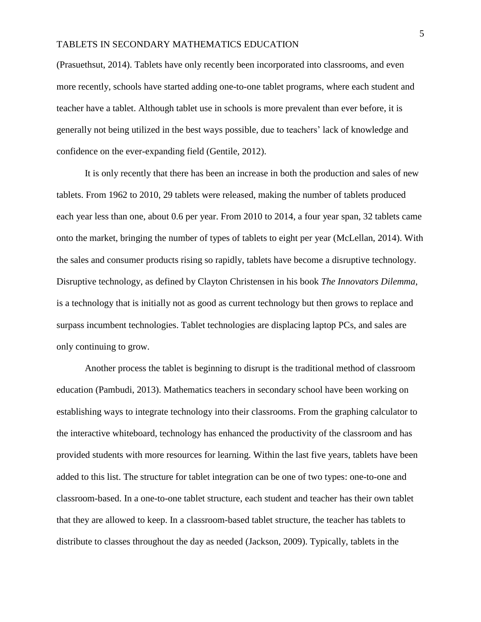(Prasuethsut, 2014). Tablets have only recently been incorporated into classrooms, and even more recently, schools have started adding one-to-one tablet programs, where each student and teacher have a tablet. Although tablet use in schools is more prevalent than ever before, it is generally not being utilized in the best ways possible, due to teachers' lack of knowledge and confidence on the ever-expanding field (Gentile, 2012).

It is only recently that there has been an increase in both the production and sales of new tablets. From 1962 to 2010, 29 tablets were released, making the number of tablets produced each year less than one, about 0.6 per year. From 2010 to 2014, a four year span, 32 tablets came onto the market, bringing the number of types of tablets to eight per year (McLellan, 2014). With the sales and consumer products rising so rapidly, tablets have become a disruptive technology. Disruptive technology, as defined by Clayton Christensen in his book *The Innovators Dilemma*, is a technology that is initially not as good as current technology but then grows to replace and surpass incumbent technologies. Tablet technologies are displacing laptop PCs, and sales are only continuing to grow.

Another process the tablet is beginning to disrupt is the traditional method of classroom education (Pambudi, 2013). Mathematics teachers in secondary school have been working on establishing ways to integrate technology into their classrooms. From the graphing calculator to the interactive whiteboard, technology has enhanced the productivity of the classroom and has provided students with more resources for learning. Within the last five years, tablets have been added to this list. The structure for tablet integration can be one of two types: one-to-one and classroom-based. In a one-to-one tablet structure, each student and teacher has their own tablet that they are allowed to keep. In a classroom-based tablet structure, the teacher has tablets to distribute to classes throughout the day as needed (Jackson, 2009). Typically, tablets in the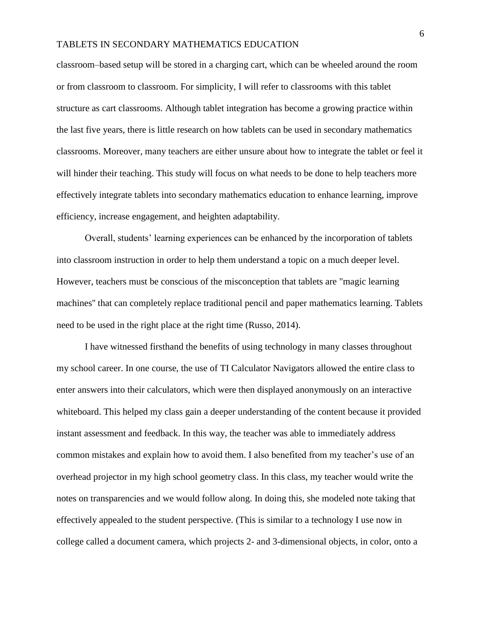classroom–based setup will be stored in a charging cart, which can be wheeled around the room or from classroom to classroom. For simplicity, I will refer to classrooms with this tablet structure as cart classrooms. Although tablet integration has become a growing practice within the last five years, there is little research on how tablets can be used in secondary mathematics classrooms. Moreover, many teachers are either unsure about how to integrate the tablet or feel it will hinder their teaching. This study will focus on what needs to be done to help teachers more effectively integrate tablets into secondary mathematics education to enhance learning, improve efficiency, increase engagement, and heighten adaptability.

Overall, students' learning experiences can be enhanced by the incorporation of tablets into classroom instruction in order to help them understand a topic on a much deeper level. However, teachers must be conscious of the misconception that tablets are "magic learning machines'' that can completely replace traditional pencil and paper mathematics learning. Tablets need to be used in the right place at the right time (Russo, 2014).

I have witnessed firsthand the benefits of using technology in many classes throughout my school career. In one course, the use of TI Calculator Navigators allowed the entire class to enter answers into their calculators, which were then displayed anonymously on an interactive whiteboard. This helped my class gain a deeper understanding of the content because it provided instant assessment and feedback. In this way, the teacher was able to immediately address common mistakes and explain how to avoid them. I also benefited from my teacher's use of an overhead projector in my high school geometry class. In this class, my teacher would write the notes on transparencies and we would follow along. In doing this, she modeled note taking that effectively appealed to the student perspective. (This is similar to a technology I use now in college called a document camera, which projects 2- and 3-dimensional objects, in color, onto a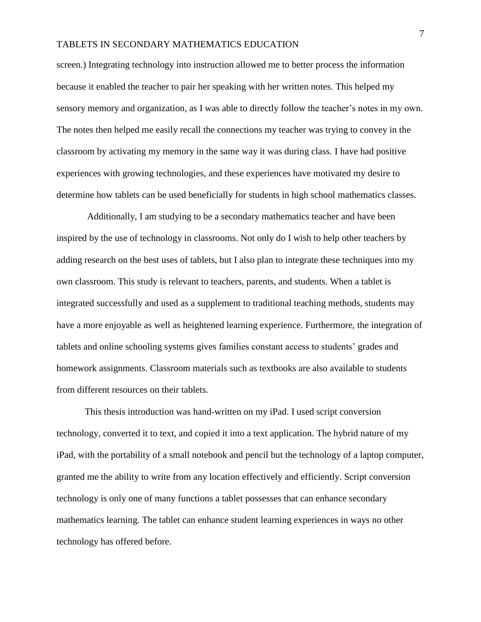screen.) Integrating technology into instruction allowed me to better process the information because it enabled the teacher to pair her speaking with her written notes. This helped my sensory memory and organization, as I was able to directly follow the teacher's notes in my own. The notes then helped me easily recall the connections my teacher was trying to convey in the classroom by activating my memory in the same way it was during class. I have had positive experiences with growing technologies, and these experiences have motivated my desire to determine how tablets can be used beneficially for students in high school mathematics classes.

Additionally, I am studying to be a secondary mathematics teacher and have been inspired by the use of technology in classrooms. Not only do I wish to help other teachers by adding research on the best uses of tablets, but I also plan to integrate these techniques into my own classroom. This study is relevant to teachers, parents, and students. When a tablet is integrated successfully and used as a supplement to traditional teaching methods, students may have a more enjoyable as well as heightened learning experience. Furthermore, the integration of tablets and online schooling systems gives families constant access to students' grades and homework assignments. Classroom materials such as textbooks are also available to students from different resources on their tablets.

This thesis introduction was hand-written on my iPad. I used script conversion technology, converted it to text, and copied it into a text application. The hybrid nature of my iPad, with the portability of a small notebook and pencil but the technology of a laptop computer, granted me the ability to write from any location effectively and efficiently. Script conversion technology is only one of many functions a tablet possesses that can enhance secondary mathematics learning. The tablet can enhance student learning experiences in ways no other technology has offered before.

7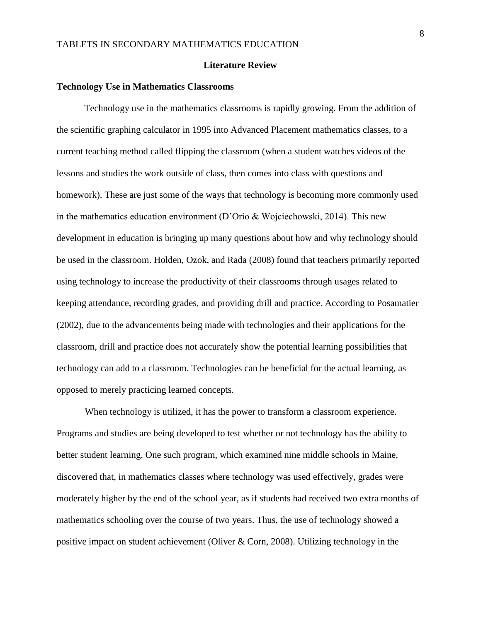#### **Literature Review**

#### **Technology Use in Mathematics Classrooms**

Technology use in the mathematics classrooms is rapidly growing. From the addition of the scientific graphing calculator in 1995 into Advanced Placement mathematics classes, to a current teaching method called flipping the classroom (when a student watches videos of the lessons and studies the work outside of class, then comes into class with questions and homework). These are just some of the ways that technology is becoming more commonly used in the mathematics education environment (D'Orio & Wojciechowski, 2014). This new development in education is bringing up many questions about how and why technology should be used in the classroom. Holden, Ozok, and Rada (2008) found that teachers primarily reported using technology to increase the productivity of their classrooms through usages related to keeping attendance, recording grades, and providing drill and practice. According to Posamatier (2002), due to the advancements being made with technologies and their applications for the classroom, drill and practice does not accurately show the potential learning possibilities that technology can add to a classroom. Technologies can be beneficial for the actual learning, as opposed to merely practicing learned concepts.

When technology is utilized, it has the power to transform a classroom experience. Programs and studies are being developed to test whether or not technology has the ability to better student learning. One such program, which examined nine middle schools in Maine, discovered that, in mathematics classes where technology was used effectively, grades were moderately higher by the end of the school year, as if students had received two extra months of mathematics schooling over the course of two years. Thus, the use of technology showed a positive impact on student achievement (Oliver & Corn, 2008). Utilizing technology in the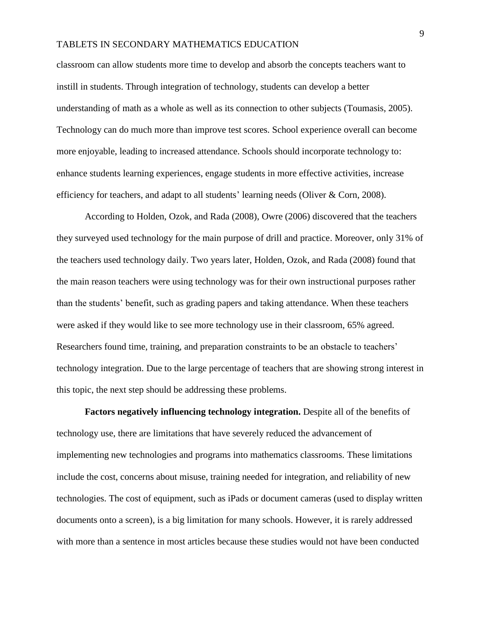classroom can allow students more time to develop and absorb the concepts teachers want to instill in students. Through integration of technology, students can develop a better understanding of math as a whole as well as its connection to other subjects (Toumasis, 2005). Technology can do much more than improve test scores. School experience overall can become more enjoyable, leading to increased attendance. Schools should incorporate technology to: enhance students learning experiences, engage students in more effective activities, increase efficiency for teachers, and adapt to all students' learning needs (Oliver & Corn, 2008).

According to Holden, Ozok, and Rada (2008), Owre (2006) discovered that the teachers they surveyed used technology for the main purpose of drill and practice. Moreover, only 31% of the teachers used technology daily. Two years later, Holden, Ozok, and Rada (2008) found that the main reason teachers were using technology was for their own instructional purposes rather than the students' benefit, such as grading papers and taking attendance. When these teachers were asked if they would like to see more technology use in their classroom, 65% agreed. Researchers found time, training, and preparation constraints to be an obstacle to teachers' technology integration. Due to the large percentage of teachers that are showing strong interest in this topic, the next step should be addressing these problems.

**Factors negatively influencing technology integration.** Despite all of the benefits of technology use, there are limitations that have severely reduced the advancement of implementing new technologies and programs into mathematics classrooms. These limitations include the cost, concerns about misuse, training needed for integration, and reliability of new technologies. The cost of equipment, such as iPads or document cameras (used to display written documents onto a screen), is a big limitation for many schools. However, it is rarely addressed with more than a sentence in most articles because these studies would not have been conducted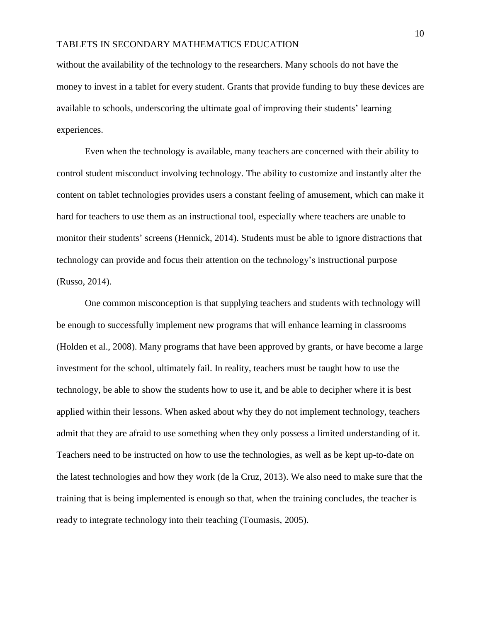without the availability of the technology to the researchers. Many schools do not have the money to invest in a tablet for every student. Grants that provide funding to buy these devices are available to schools, underscoring the ultimate goal of improving their students' learning experiences.

Even when the technology is available, many teachers are concerned with their ability to control student misconduct involving technology. The ability to customize and instantly alter the content on tablet technologies provides users a constant feeling of amusement, which can make it hard for teachers to use them as an instructional tool, especially where teachers are unable to monitor their students' screens (Hennick, 2014). Students must be able to ignore distractions that technology can provide and focus their attention on the technology's instructional purpose (Russo, 2014).

One common misconception is that supplying teachers and students with technology will be enough to successfully implement new programs that will enhance learning in classrooms (Holden et al., 2008). Many programs that have been approved by grants, or have become a large investment for the school, ultimately fail. In reality, teachers must be taught how to use the technology, be able to show the students how to use it, and be able to decipher where it is best applied within their lessons. When asked about why they do not implement technology, teachers admit that they are afraid to use something when they only possess a limited understanding of it. Teachers need to be instructed on how to use the technologies, as well as be kept up-to-date on the latest technologies and how they work (de la Cruz, 2013). We also need to make sure that the training that is being implemented is enough so that, when the training concludes, the teacher is ready to integrate technology into their teaching (Toumasis, 2005).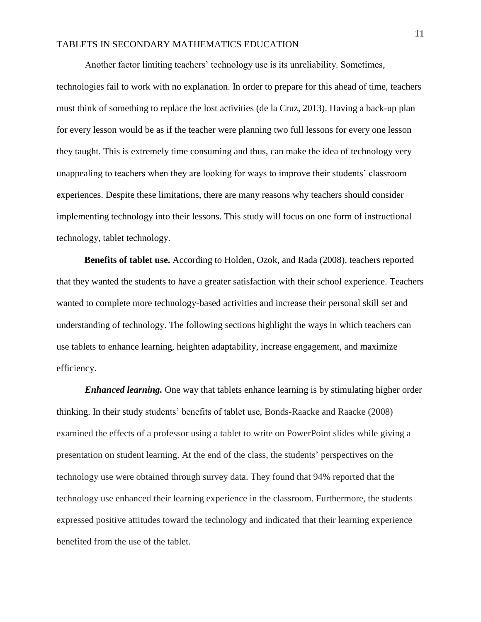Another factor limiting teachers' technology use is its unreliability. Sometimes, technologies fail to work with no explanation. In order to prepare for this ahead of time, teachers must think of something to replace the lost activities (de la Cruz, 2013). Having a back-up plan for every lesson would be as if the teacher were planning two full lessons for every one lesson they taught. This is extremely time consuming and thus, can make the idea of technology very unappealing to teachers when they are looking for ways to improve their students' classroom experiences. Despite these limitations, there are many reasons why teachers should consider implementing technology into their lessons. This study will focus on one form of instructional technology, tablet technology.

**Benefits of tablet use.** According to Holden, Ozok, and Rada (2008), teachers reported that they wanted the students to have a greater satisfaction with their school experience. Teachers wanted to complete more technology-based activities and increase their personal skill set and understanding of technology. The following sections highlight the ways in which teachers can use tablets to enhance learning, heighten adaptability, increase engagement, and maximize efficiency.

*Enhanced learning.* One way that tablets enhance learning is by stimulating higher order thinking. In their study students' benefits of tablet use, Bonds-Raacke and Raacke (2008) examined the effects of a professor using a tablet to write on PowerPoint slides while giving a presentation on student learning. At the end of the class, the students' perspectives on the technology use were obtained through survey data. They found that 94% reported that the technology use enhanced their learning experience in the classroom. Furthermore, the students expressed positive attitudes toward the technology and indicated that their learning experience benefited from the use of the tablet.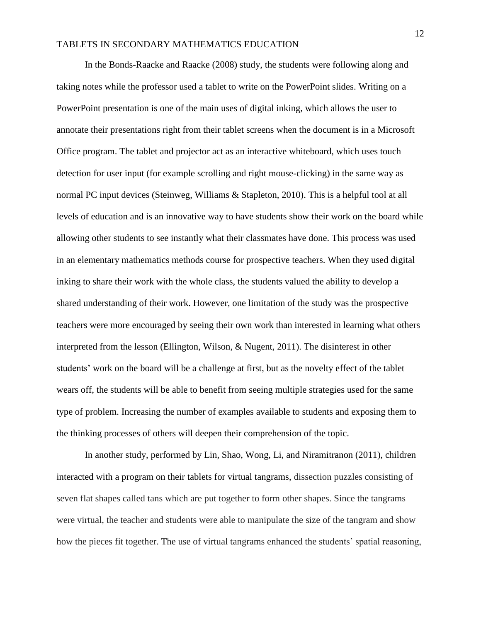In the Bonds-Raacke and Raacke (2008) study, the students were following along and taking notes while the professor used a tablet to write on the PowerPoint slides. Writing on a PowerPoint presentation is one of the main uses of digital inking*,* which allows the user to annotate their presentations right from their tablet screens when the document is in a Microsoft Office program. The tablet and projector act as an interactive whiteboard, which uses touch detection for user input (for example scrolling and right mouse-clicking) in the same way as normal PC input devices (Steinweg, Williams & Stapleton, 2010). This is a helpful tool at all levels of education and is an innovative way to have students show their work on the board while allowing other students to see instantly what their classmates have done. This process was used in an elementary mathematics methods course for prospective teachers. When they used digital inking to share their work with the whole class, the students valued the ability to develop a shared understanding of their work. However, one limitation of the study was the prospective teachers were more encouraged by seeing their own work than interested in learning what others interpreted from the lesson (Ellington, Wilson, & Nugent, 2011). The disinterest in other students' work on the board will be a challenge at first, but as the novelty effect of the tablet wears off, the students will be able to benefit from seeing multiple strategies used for the same type of problem. Increasing the number of examples available to students and exposing them to the thinking processes of others will deepen their comprehension of the topic.

In another study, performed by Lin, Shao, Wong, Li, and Niramitranon (2011), children interacted with a program on their tablets for virtual tangrams, dissection puzzles consisting of seven flat shapes called tans which are put together to form other shapes. Since the tangrams were virtual, the teacher and students were able to manipulate the size of the tangram and show how the pieces fit together. The use of virtual tangrams enhanced the students' spatial reasoning,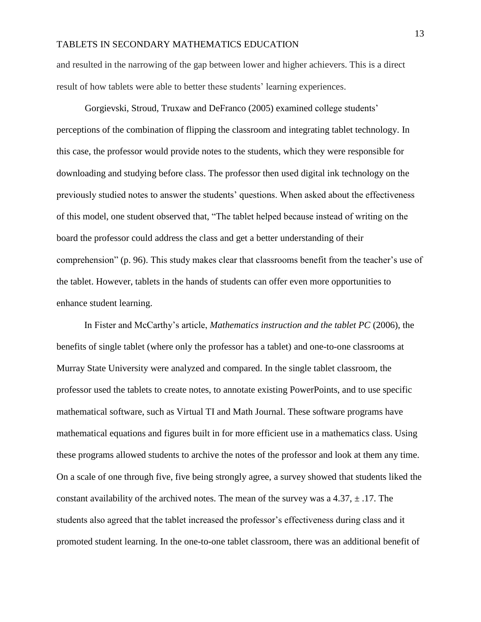and resulted in the narrowing of the gap between lower and higher achievers. This is a direct result of how tablets were able to better these students' learning experiences.

Gorgievski, Stroud, Truxaw and DeFranco (2005) examined college students' perceptions of the combination of flipping the classroom and integrating tablet technology. In this case, the professor would provide notes to the students, which they were responsible for downloading and studying before class. The professor then used digital ink technology on the previously studied notes to answer the students' questions. When asked about the effectiveness of this model, one student observed that, "The tablet helped because instead of writing on the board the professor could address the class and get a better understanding of their comprehension" (p. 96). This study makes clear that classrooms benefit from the teacher's use of the tablet. However, tablets in the hands of students can offer even more opportunities to enhance student learning.

In Fister and McCarthy's article, *Mathematics instruction and the tablet PC* (2006)*,* the benefits of single tablet (where only the professor has a tablet) and one-to-one classrooms at Murray State University were analyzed and compared. In the single tablet classroom, the professor used the tablets to create notes, to annotate existing PowerPoints, and to use specific mathematical software, such as Virtual TI and Math Journal. These software programs have mathematical equations and figures built in for more efficient use in a mathematics class. Using these programs allowed students to archive the notes of the professor and look at them any time. On a scale of one through five, five being strongly agree, a survey showed that students liked the constant availability of the archived notes. The mean of the survey was a  $4.37, \pm .17$ . The students also agreed that the tablet increased the professor's effectiveness during class and it promoted student learning. In the one-to-one tablet classroom, there was an additional benefit of

13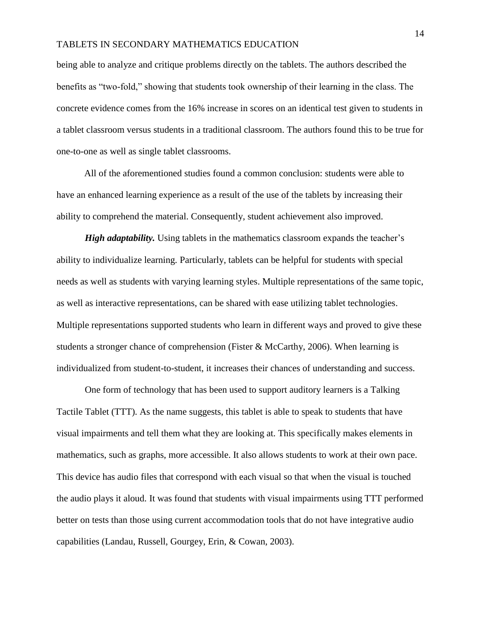being able to analyze and critique problems directly on the tablets. The authors described the benefits as "two-fold," showing that students took ownership of their learning in the class. The concrete evidence comes from the 16% increase in scores on an identical test given to students in a tablet classroom versus students in a traditional classroom. The authors found this to be true for one-to-one as well as single tablet classrooms.

All of the aforementioned studies found a common conclusion: students were able to have an enhanced learning experience as a result of the use of the tablets by increasing their ability to comprehend the material. Consequently, student achievement also improved.

*High adaptability.* Using tablets in the mathematics classroom expands the teacher's ability to individualize learning. Particularly, tablets can be helpful for students with special needs as well as students with varying learning styles. Multiple representations of the same topic, as well as interactive representations, can be shared with ease utilizing tablet technologies. Multiple representations supported students who learn in different ways and proved to give these students a stronger chance of comprehension (Fister & McCarthy, 2006). When learning is individualized from student-to-student, it increases their chances of understanding and success.

One form of technology that has been used to support auditory learners is a Talking Tactile Tablet (TTT). As the name suggests, this tablet is able to speak to students that have visual impairments and tell them what they are looking at. This specifically makes elements in mathematics, such as graphs, more accessible. It also allows students to work at their own pace. This device has audio files that correspond with each visual so that when the visual is touched the audio plays it aloud. It was found that students with visual impairments using TTT performed better on tests than those using current accommodation tools that do not have integrative audio capabilities (Landau, Russell, Gourgey, Erin, & Cowan, 2003).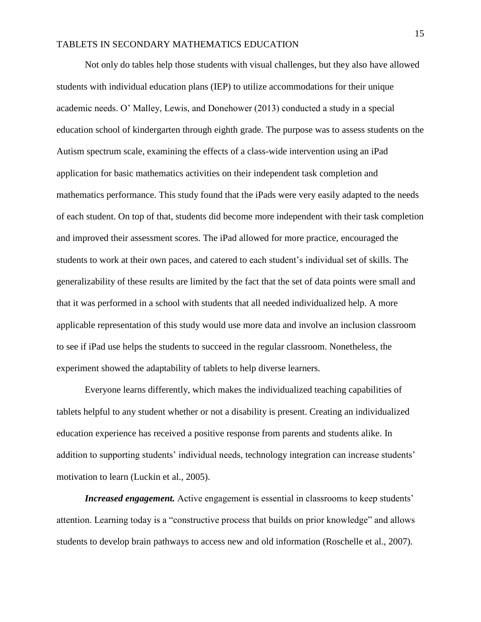Not only do tables help those students with visual challenges, but they also have allowed students with individual education plans (IEP) to utilize accommodations for their unique academic needs. O' Malley, Lewis, and Donehower (2013) conducted a study in a special education school of kindergarten through eighth grade. The purpose was to assess students on the Autism spectrum scale, examining the effects of a class-wide intervention using an iPad application for basic mathematics activities on their independent task completion and mathematics performance. This study found that the iPads were very easily adapted to the needs of each student. On top of that, students did become more independent with their task completion and improved their assessment scores. The iPad allowed for more practice, encouraged the students to work at their own paces, and catered to each student's individual set of skills. The generalizability of these results are limited by the fact that the set of data points were small and that it was performed in a school with students that all needed individualized help. A more applicable representation of this study would use more data and involve an inclusion classroom to see if iPad use helps the students to succeed in the regular classroom. Nonetheless, the experiment showed the adaptability of tablets to help diverse learners.

Everyone learns differently, which makes the individualized teaching capabilities of tablets helpful to any student whether or not a disability is present. Creating an individualized education experience has received a positive response from parents and students alike. In addition to supporting students' individual needs, technology integration can increase students' motivation to learn (Luckin et al., 2005).

*Increased engagement.* Active engagement is essential in classrooms to keep students' attention. Learning today is a "constructive process that builds on prior knowledge" and allows students to develop brain pathways to access new and old information (Roschelle et al., 2007).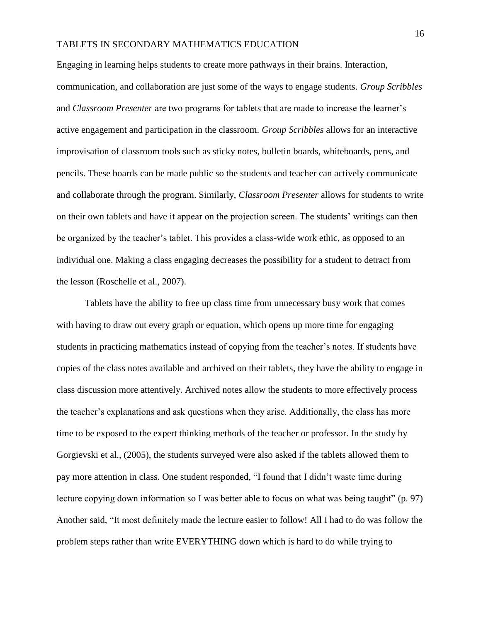Engaging in learning helps students to create more pathways in their brains. Interaction, communication, and collaboration are just some of the ways to engage students. *Group Scribbles* and *Classroom Presenter* are two programs for tablets that are made to increase the learner's active engagement and participation in the classroom. *Group Scribbles* allows for an interactive improvisation of classroom tools such as sticky notes, bulletin boards, whiteboards, pens, and pencils. These boards can be made public so the students and teacher can actively communicate and collaborate through the program. Similarly, *Classroom Presenter* allows for students to write on their own tablets and have it appear on the projection screen. The students' writings can then be organized by the teacher's tablet. This provides a class-wide work ethic, as opposed to an individual one. Making a class engaging decreases the possibility for a student to detract from the lesson (Roschelle et al., 2007).

Tablets have the ability to free up class time from unnecessary busy work that comes with having to draw out every graph or equation, which opens up more time for engaging students in practicing mathematics instead of copying from the teacher's notes. If students have copies of the class notes available and archived on their tablets, they have the ability to engage in class discussion more attentively. Archived notes allow the students to more effectively process the teacher's explanations and ask questions when they arise. Additionally, the class has more time to be exposed to the expert thinking methods of the teacher or professor. In the study by Gorgievski et al., (2005), the students surveyed were also asked if the tablets allowed them to pay more attention in class. One student responded, "I found that I didn't waste time during lecture copying down information so I was better able to focus on what was being taught" (p. 97) Another said, "It most definitely made the lecture easier to follow! All I had to do was follow the problem steps rather than write EVERYTHING down which is hard to do while trying to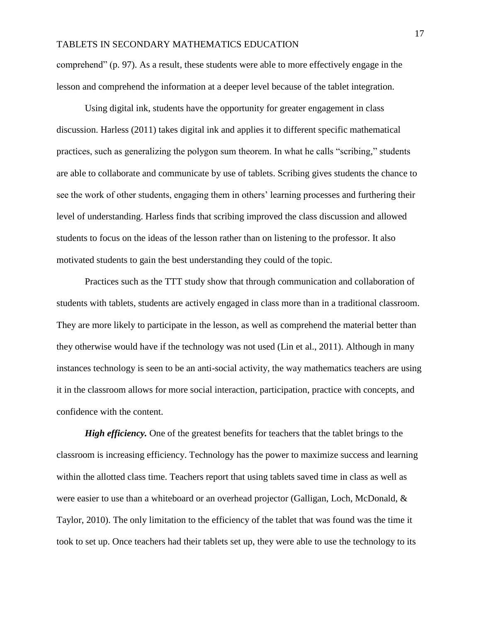comprehend" (p. 97). As a result, these students were able to more effectively engage in the lesson and comprehend the information at a deeper level because of the tablet integration.

Using digital ink, students have the opportunity for greater engagement in class discussion. Harless (2011) takes digital ink and applies it to different specific mathematical practices, such as generalizing the polygon sum theorem. In what he calls "scribing," students are able to collaborate and communicate by use of tablets. Scribing gives students the chance to see the work of other students, engaging them in others' learning processes and furthering their level of understanding. Harless finds that scribing improved the class discussion and allowed students to focus on the ideas of the lesson rather than on listening to the professor. It also motivated students to gain the best understanding they could of the topic.

Practices such as the TTT study show that through communication and collaboration of students with tablets, students are actively engaged in class more than in a traditional classroom. They are more likely to participate in the lesson, as well as comprehend the material better than they otherwise would have if the technology was not used (Lin et al., 2011). Although in many instances technology is seen to be an anti-social activity, the way mathematics teachers are using it in the classroom allows for more social interaction, participation, practice with concepts, and confidence with the content.

*High efficiency.* One of the greatest benefits for teachers that the tablet brings to the classroom is increasing efficiency. Technology has the power to maximize success and learning within the allotted class time. Teachers report that using tablets saved time in class as well as were easier to use than a whiteboard or an overhead projector (Galligan, Loch, McDonald, & Taylor, 2010). The only limitation to the efficiency of the tablet that was found was the time it took to set up. Once teachers had their tablets set up, they were able to use the technology to its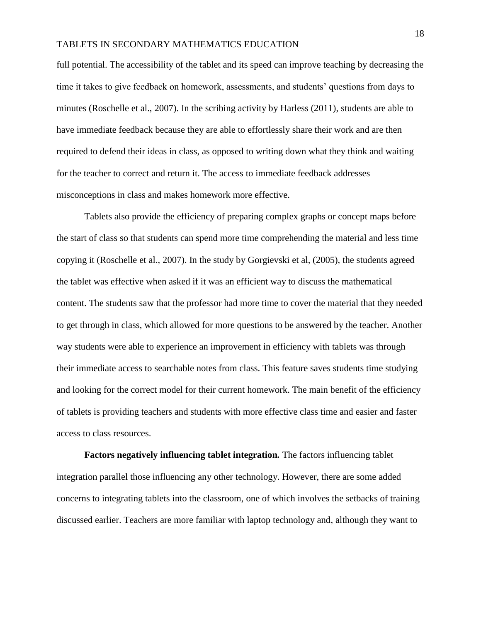full potential. The accessibility of the tablet and its speed can improve teaching by decreasing the time it takes to give feedback on homework, assessments, and students' questions from days to minutes (Roschelle et al., 2007). In the scribing activity by Harless (2011), students are able to have immediate feedback because they are able to effortlessly share their work and are then required to defend their ideas in class, as opposed to writing down what they think and waiting for the teacher to correct and return it. The access to immediate feedback addresses misconceptions in class and makes homework more effective.

Tablets also provide the efficiency of preparing complex graphs or concept maps before the start of class so that students can spend more time comprehending the material and less time copying it (Roschelle et al., 2007). In the study by Gorgievski et al, (2005), the students agreed the tablet was effective when asked if it was an efficient way to discuss the mathematical content. The students saw that the professor had more time to cover the material that they needed to get through in class, which allowed for more questions to be answered by the teacher. Another way students were able to experience an improvement in efficiency with tablets was through their immediate access to searchable notes from class. This feature saves students time studying and looking for the correct model for their current homework. The main benefit of the efficiency of tablets is providing teachers and students with more effective class time and easier and faster access to class resources.

**Factors negatively influencing tablet integration***.* The factors influencing tablet integration parallel those influencing any other technology. However, there are some added concerns to integrating tablets into the classroom, one of which involves the setbacks of training discussed earlier. Teachers are more familiar with laptop technology and, although they want to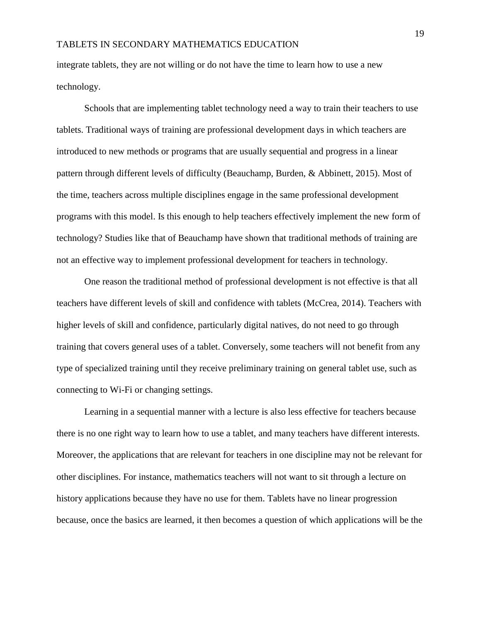integrate tablets, they are not willing or do not have the time to learn how to use a new technology.

Schools that are implementing tablet technology need a way to train their teachers to use tablets. Traditional ways of training are professional development days in which teachers are introduced to new methods or programs that are usually sequential and progress in a linear pattern through different levels of difficulty (Beauchamp, Burden, & Abbinett, 2015). Most of the time, teachers across multiple disciplines engage in the same professional development programs with this model. Is this enough to help teachers effectively implement the new form of technology? Studies like that of Beauchamp have shown that traditional methods of training are not an effective way to implement professional development for teachers in technology.

One reason the traditional method of professional development is not effective is that all teachers have different levels of skill and confidence with tablets (McCrea, 2014). Teachers with higher levels of skill and confidence, particularly digital natives, do not need to go through training that covers general uses of a tablet. Conversely, some teachers will not benefit from any type of specialized training until they receive preliminary training on general tablet use, such as connecting to Wi-Fi or changing settings.

Learning in a sequential manner with a lecture is also less effective for teachers because there is no one right way to learn how to use a tablet, and many teachers have different interests. Moreover, the applications that are relevant for teachers in one discipline may not be relevant for other disciplines. For instance, mathematics teachers will not want to sit through a lecture on history applications because they have no use for them. Tablets have no linear progression because, once the basics are learned, it then becomes a question of which applications will be the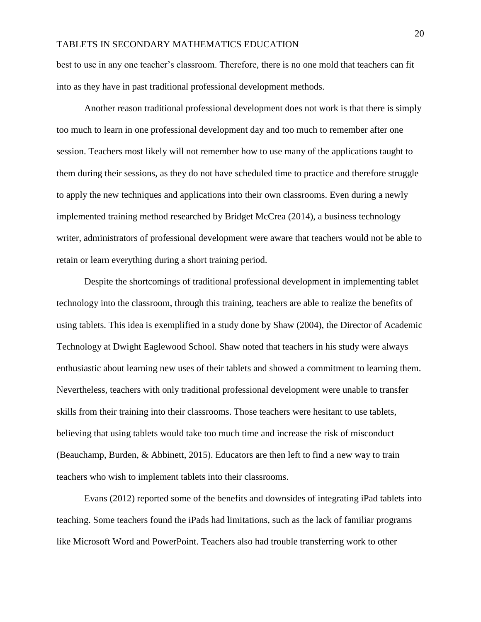best to use in any one teacher's classroom. Therefore, there is no one mold that teachers can fit into as they have in past traditional professional development methods.

Another reason traditional professional development does not work is that there is simply too much to learn in one professional development day and too much to remember after one session. Teachers most likely will not remember how to use many of the applications taught to them during their sessions, as they do not have scheduled time to practice and therefore struggle to apply the new techniques and applications into their own classrooms. Even during a newly implemented training method researched by Bridget McCrea (2014), a business technology writer, administrators of professional development were aware that teachers would not be able to retain or learn everything during a short training period.

Despite the shortcomings of traditional professional development in implementing tablet technology into the classroom, through this training, teachers are able to realize the benefits of using tablets. This idea is exemplified in a study done by Shaw (2004), the Director of Academic Technology at Dwight Eaglewood School. Shaw noted that teachers in his study were always enthusiastic about learning new uses of their tablets and showed a commitment to learning them. Nevertheless, teachers with only traditional professional development were unable to transfer skills from their training into their classrooms. Those teachers were hesitant to use tablets, believing that using tablets would take too much time and increase the risk of misconduct (Beauchamp, Burden, & Abbinett, 2015). Educators are then left to find a new way to train teachers who wish to implement tablets into their classrooms.

Evans (2012) reported some of the benefits and downsides of integrating iPad tablets into teaching. Some teachers found the iPads had limitations, such as the lack of familiar programs like Microsoft Word and PowerPoint. Teachers also had trouble transferring work to other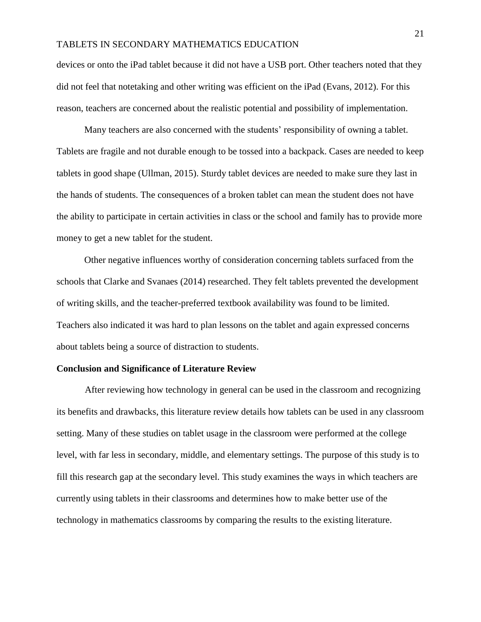devices or onto the iPad tablet because it did not have a USB port. Other teachers noted that they did not feel that notetaking and other writing was efficient on the iPad (Evans, 2012). For this reason, teachers are concerned about the realistic potential and possibility of implementation.

Many teachers are also concerned with the students' responsibility of owning a tablet. Tablets are fragile and not durable enough to be tossed into a backpack. Cases are needed to keep tablets in good shape (Ullman, 2015). Sturdy tablet devices are needed to make sure they last in the hands of students. The consequences of a broken tablet can mean the student does not have the ability to participate in certain activities in class or the school and family has to provide more money to get a new tablet for the student.

Other negative influences worthy of consideration concerning tablets surfaced from the schools that Clarke and Svanaes (2014) researched. They felt tablets prevented the development of writing skills, and the teacher-preferred textbook availability was found to be limited. Teachers also indicated it was hard to plan lessons on the tablet and again expressed concerns about tablets being a source of distraction to students.

#### **Conclusion and Significance of Literature Review**

After reviewing how technology in general can be used in the classroom and recognizing its benefits and drawbacks, this literature review details how tablets can be used in any classroom setting. Many of these studies on tablet usage in the classroom were performed at the college level, with far less in secondary, middle, and elementary settings. The purpose of this study is to fill this research gap at the secondary level. This study examines the ways in which teachers are currently using tablets in their classrooms and determines how to make better use of the technology in mathematics classrooms by comparing the results to the existing literature.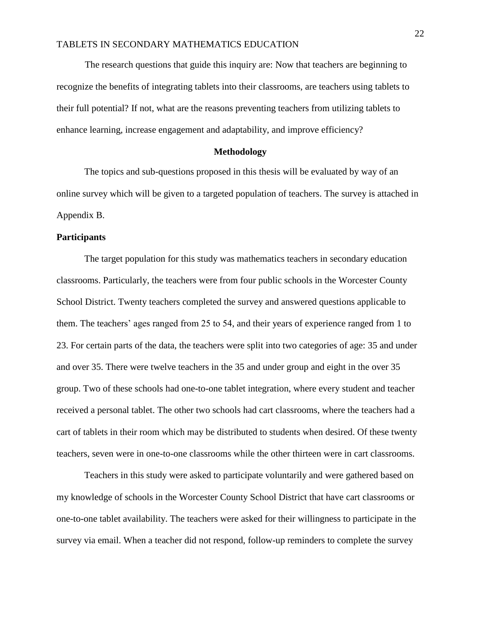The research questions that guide this inquiry are: Now that teachers are beginning to recognize the benefits of integrating tablets into their classrooms, are teachers using tablets to their full potential? If not, what are the reasons preventing teachers from utilizing tablets to enhance learning, increase engagement and adaptability, and improve efficiency?

#### **Methodology**

The topics and sub-questions proposed in this thesis will be evaluated by way of an online survey which will be given to a targeted population of teachers. The survey is attached in Appendix B.

#### **Participants**

The target population for this study was mathematics teachers in secondary education classrooms. Particularly, the teachers were from four public schools in the Worcester County School District. Twenty teachers completed the survey and answered questions applicable to them. The teachers' ages ranged from 25 to 54, and their years of experience ranged from 1 to 23. For certain parts of the data, the teachers were split into two categories of age: 35 and under and over 35. There were twelve teachers in the 35 and under group and eight in the over 35 group. Two of these schools had one-to-one tablet integration, where every student and teacher received a personal tablet. The other two schools had cart classrooms, where the teachers had a cart of tablets in their room which may be distributed to students when desired. Of these twenty teachers, seven were in one-to-one classrooms while the other thirteen were in cart classrooms.

Teachers in this study were asked to participate voluntarily and were gathered based on my knowledge of schools in the Worcester County School District that have cart classrooms or one-to-one tablet availability. The teachers were asked for their willingness to participate in the survey via email. When a teacher did not respond, follow-up reminders to complete the survey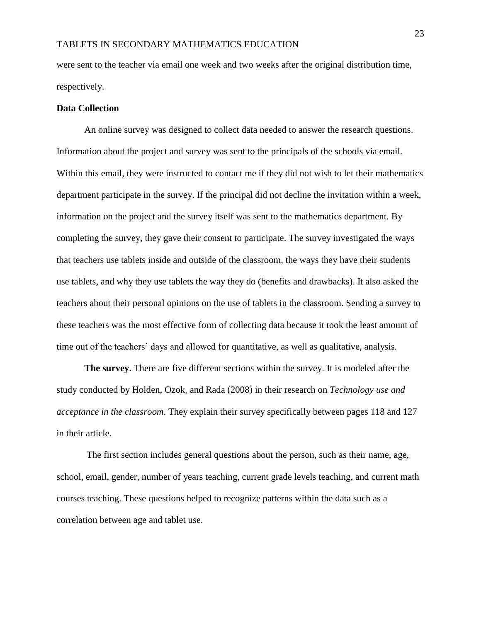were sent to the teacher via email one week and two weeks after the original distribution time, respectively.

#### **Data Collection**

An online survey was designed to collect data needed to answer the research questions. Information about the project and survey was sent to the principals of the schools via email. Within this email, they were instructed to contact me if they did not wish to let their mathematics department participate in the survey. If the principal did not decline the invitation within a week, information on the project and the survey itself was sent to the mathematics department. By completing the survey, they gave their consent to participate. The survey investigated the ways that teachers use tablets inside and outside of the classroom, the ways they have their students use tablets, and why they use tablets the way they do (benefits and drawbacks). It also asked the teachers about their personal opinions on the use of tablets in the classroom. Sending a survey to these teachers was the most effective form of collecting data because it took the least amount of time out of the teachers' days and allowed for quantitative, as well as qualitative, analysis.

**The survey.** There are five different sections within the survey. It is modeled after the study conducted by Holden, Ozok, and Rada (2008) in their research on *Technology use and acceptance in the classroom*. They explain their survey specifically between pages 118 and 127 in their article.

The first section includes general questions about the person, such as their name, age, school, email, gender, number of years teaching, current grade levels teaching, and current math courses teaching. These questions helped to recognize patterns within the data such as a correlation between age and tablet use.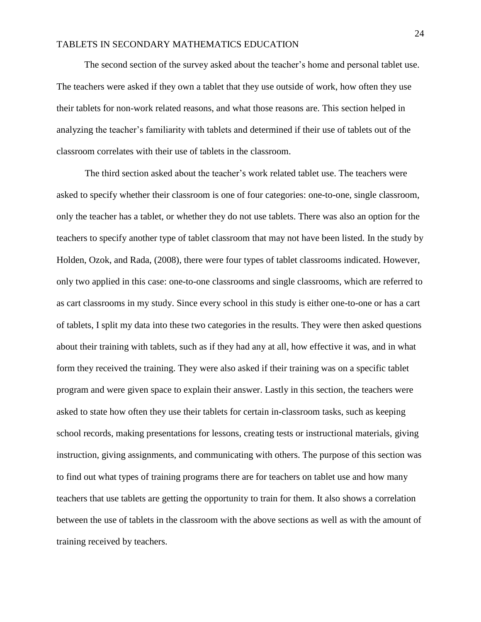The second section of the survey asked about the teacher's home and personal tablet use. The teachers were asked if they own a tablet that they use outside of work, how often they use their tablets for non-work related reasons, and what those reasons are. This section helped in analyzing the teacher's familiarity with tablets and determined if their use of tablets out of the classroom correlates with their use of tablets in the classroom.

The third section asked about the teacher's work related tablet use. The teachers were asked to specify whether their classroom is one of four categories: one-to-one, single classroom, only the teacher has a tablet, or whether they do not use tablets. There was also an option for the teachers to specify another type of tablet classroom that may not have been listed. In the study by Holden, Ozok, and Rada, (2008), there were four types of tablet classrooms indicated. However, only two applied in this case: one-to-one classrooms and single classrooms, which are referred to as cart classrooms in my study. Since every school in this study is either one-to-one or has a cart of tablets, I split my data into these two categories in the results. They were then asked questions about their training with tablets, such as if they had any at all, how effective it was, and in what form they received the training. They were also asked if their training was on a specific tablet program and were given space to explain their answer. Lastly in this section, the teachers were asked to state how often they use their tablets for certain in-classroom tasks, such as keeping school records, making presentations for lessons, creating tests or instructional materials, giving instruction, giving assignments, and communicating with others. The purpose of this section was to find out what types of training programs there are for teachers on tablet use and how many teachers that use tablets are getting the opportunity to train for them. It also shows a correlation between the use of tablets in the classroom with the above sections as well as with the amount of training received by teachers.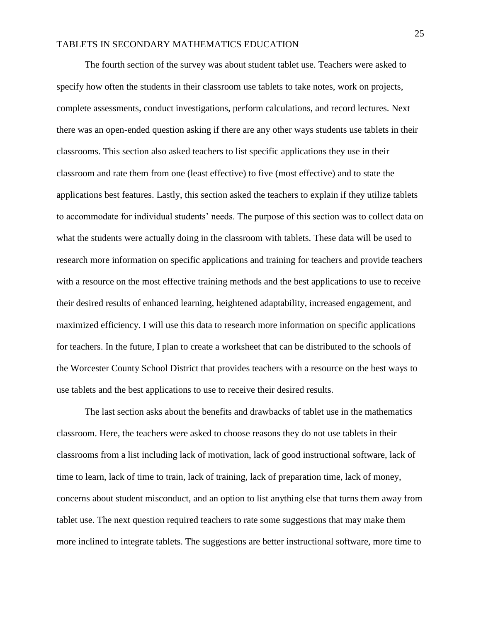The fourth section of the survey was about student tablet use. Teachers were asked to specify how often the students in their classroom use tablets to take notes, work on projects, complete assessments, conduct investigations, perform calculations, and record lectures. Next there was an open-ended question asking if there are any other ways students use tablets in their classrooms. This section also asked teachers to list specific applications they use in their classroom and rate them from one (least effective) to five (most effective) and to state the applications best features. Lastly, this section asked the teachers to explain if they utilize tablets to accommodate for individual students' needs. The purpose of this section was to collect data on what the students were actually doing in the classroom with tablets. These data will be used to research more information on specific applications and training for teachers and provide teachers with a resource on the most effective training methods and the best applications to use to receive their desired results of enhanced learning, heightened adaptability, increased engagement, and maximized efficiency. I will use this data to research more information on specific applications for teachers. In the future, I plan to create a worksheet that can be distributed to the schools of the Worcester County School District that provides teachers with a resource on the best ways to use tablets and the best applications to use to receive their desired results.

The last section asks about the benefits and drawbacks of tablet use in the mathematics classroom. Here, the teachers were asked to choose reasons they do not use tablets in their classrooms from a list including lack of motivation, lack of good instructional software, lack of time to learn, lack of time to train, lack of training, lack of preparation time, lack of money, concerns about student misconduct, and an option to list anything else that turns them away from tablet use. The next question required teachers to rate some suggestions that may make them more inclined to integrate tablets. The suggestions are better instructional software, more time to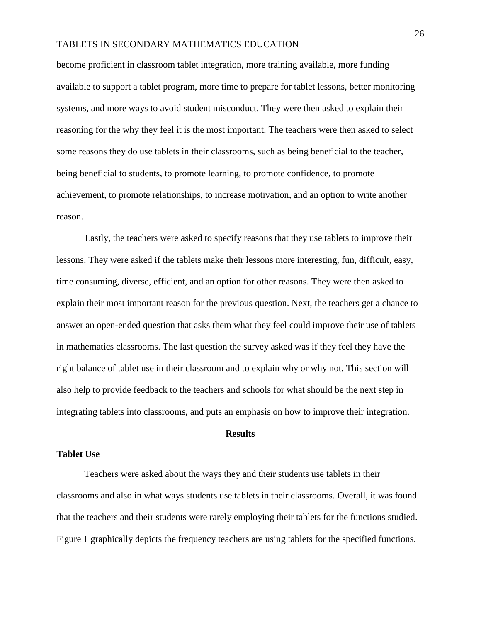become proficient in classroom tablet integration, more training available, more funding available to support a tablet program, more time to prepare for tablet lessons, better monitoring systems, and more ways to avoid student misconduct. They were then asked to explain their reasoning for the why they feel it is the most important. The teachers were then asked to select some reasons they do use tablets in their classrooms, such as being beneficial to the teacher, being beneficial to students, to promote learning, to promote confidence, to promote achievement, to promote relationships, to increase motivation, and an option to write another reason.

Lastly, the teachers were asked to specify reasons that they use tablets to improve their lessons. They were asked if the tablets make their lessons more interesting, fun, difficult, easy, time consuming, diverse, efficient, and an option for other reasons. They were then asked to explain their most important reason for the previous question. Next, the teachers get a chance to answer an open-ended question that asks them what they feel could improve their use of tablets in mathematics classrooms. The last question the survey asked was if they feel they have the right balance of tablet use in their classroom and to explain why or why not. This section will also help to provide feedback to the teachers and schools for what should be the next step in integrating tablets into classrooms, and puts an emphasis on how to improve their integration.

#### **Results**

#### **Tablet Use**

Teachers were asked about the ways they and their students use tablets in their classrooms and also in what ways students use tablets in their classrooms. Overall, it was found that the teachers and their students were rarely employing their tablets for the functions studied. Figure 1 graphically depicts the frequency teachers are using tablets for the specified functions.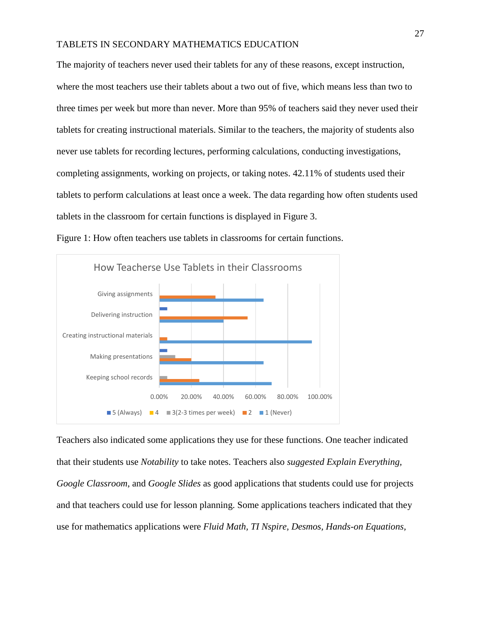The majority of teachers never used their tablets for any of these reasons, except instruction, where the most teachers use their tablets about a two out of five, which means less than two to three times per week but more than never. More than 95% of teachers said they never used their tablets for creating instructional materials. Similar to the teachers, the majority of students also never use tablets for recording lectures, performing calculations, conducting investigations, completing assignments, working on projects, or taking notes. 42.11% of students used their tablets to perform calculations at least once a week. The data regarding how often students used tablets in the classroom for certain functions is displayed in Figure 3.



Figure 1: How often teachers use tablets in classrooms for certain functions.

Teachers also indicated some applications they use for these functions. One teacher indicated that their students use *Notability* to take notes. Teachers also *suggested Explain Everything, Google Classroom*, and *Google Slides* as good applications that students could use for projects and that teachers could use for lesson planning. Some applications teachers indicated that they use for mathematics applications were *Fluid Math, TI Nspire, Desmos, Hands-on Equations,*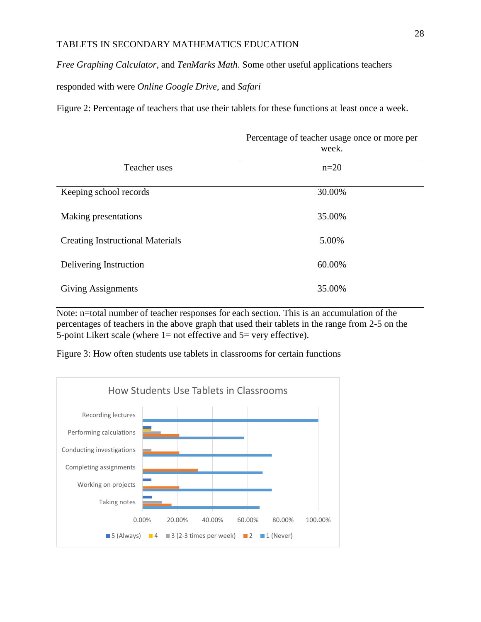*Free Graphing Calculator,* and *TenMarks Math*. Some other useful applications teachers

responded with were *Online Google Drive*, and *Safari*

Figure 2: Percentage of teachers that use their tablets for these functions at least once a week.

Percentage of teacher usage once or more per

|                                         | week.  |
|-----------------------------------------|--------|
| Teacher uses                            | $n=20$ |
| Keeping school records                  | 30.00% |
| Making presentations                    | 35.00% |
| <b>Creating Instructional Materials</b> | 5.00%  |
| Delivering Instruction                  | 60.00% |
| <b>Giving Assignments</b>               | 35.00% |

Note: n=total number of teacher responses for each section. This is an accumulation of the

percentages of teachers in the above graph that used their tablets in the range from 2-5 on the 5-point Likert scale (where  $1=$  not effective and  $5=$  very effective).

Figure 3: How often students use tablets in classrooms for certain functions

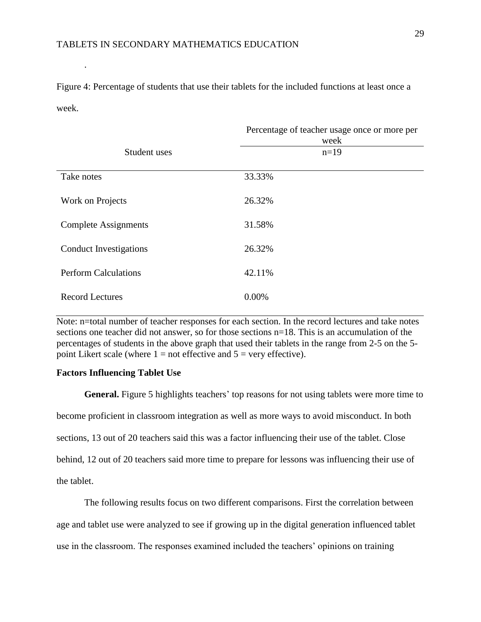Figure 4: Percentage of students that use their tablets for the included functions at least once a week.

|                             | Percentage of teacher usage once or more per<br>week |
|-----------------------------|------------------------------------------------------|
| Student uses                | $n=19$                                               |
| Take notes                  | 33.33%                                               |
| Work on Projects            | 26.32%                                               |
| <b>Complete Assignments</b> | 31.58%                                               |
| Conduct Investigations      | 26.32%                                               |
| <b>Perform Calculations</b> | 42.11%                                               |
| <b>Record Lectures</b>      | 0.00%                                                |

Note: n=total number of teacher responses for each section. In the record lectures and take notes sections one teacher did not answer, so for those sections n=18. This is an accumulation of the percentages of students in the above graph that used their tablets in the range from 2-5 on the 5 point Likert scale (where  $1 =$  not effective and  $5 =$  very effective).

#### **Factors Influencing Tablet Use**

.

**General.** Figure 5 highlights teachers' top reasons for not using tablets were more time to become proficient in classroom integration as well as more ways to avoid misconduct. In both sections, 13 out of 20 teachers said this was a factor influencing their use of the tablet. Close behind, 12 out of 20 teachers said more time to prepare for lessons was influencing their use of the tablet.

The following results focus on two different comparisons. First the correlation between age and tablet use were analyzed to see if growing up in the digital generation influenced tablet use in the classroom. The responses examined included the teachers' opinions on training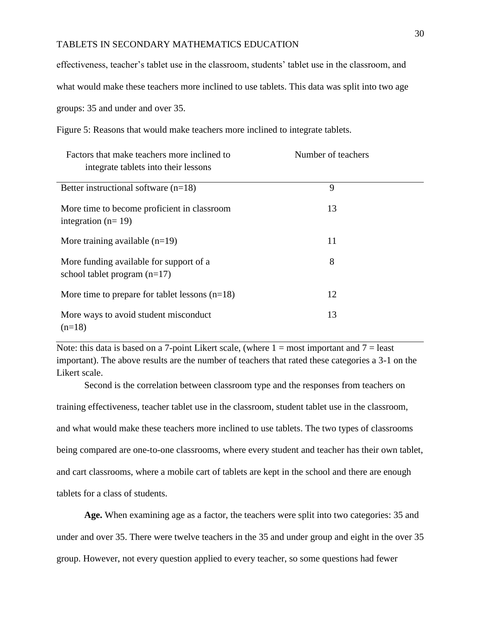effectiveness, teacher's tablet use in the classroom, students' tablet use in the classroom, and

what would make these teachers more inclined to use tablets. This data was split into two age

groups: 35 and under and over 35.

Figure 5: Reasons that would make teachers more inclined to integrate tablets.

| Factors that make teachers more inclined to<br>integrate tablets into their lessons | Number of teachers |  |
|-------------------------------------------------------------------------------------|--------------------|--|
| Better instructional software $(n=18)$                                              | 9                  |  |
| More time to become proficient in classroom<br>integration ( $n=19$ )               | 13                 |  |
| More training available $(n=19)$                                                    | 11                 |  |
| More funding available for support of a<br>school tablet program $(n=17)$           | 8                  |  |
| More time to prepare for tablet lessons $(n=18)$                                    | 12                 |  |
| More ways to avoid student misconduct<br>$(n=18)$                                   | 13                 |  |

Note: this data is based on a 7-point Likert scale, (where  $1 = \text{most important}$  and  $7 = \text{least}$ ) important). The above results are the number of teachers that rated these categories a 3-1 on the Likert scale.

Second is the correlation between classroom type and the responses from teachers on training effectiveness, teacher tablet use in the classroom, student tablet use in the classroom, and what would make these teachers more inclined to use tablets. The two types of classrooms being compared are one-to-one classrooms, where every student and teacher has their own tablet, and cart classrooms, where a mobile cart of tablets are kept in the school and there are enough tablets for a class of students.

**Age.** When examining age as a factor, the teachers were split into two categories: 35 and under and over 35. There were twelve teachers in the 35 and under group and eight in the over 35 group. However, not every question applied to every teacher, so some questions had fewer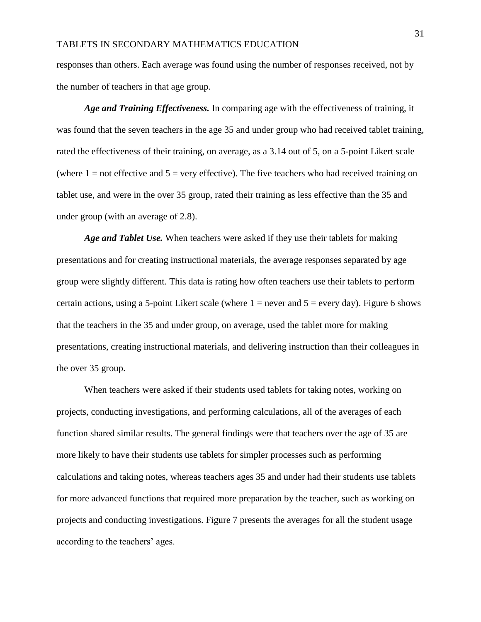responses than others. Each average was found using the number of responses received, not by the number of teachers in that age group.

*Age and Training Effectiveness.* In comparing age with the effectiveness of training, it was found that the seven teachers in the age 35 and under group who had received tablet training, rated the effectiveness of their training, on average, as a 3.14 out of 5, on a 5-point Likert scale (where  $1 =$  not effective and  $5 =$  very effective). The five teachers who had received training on tablet use, and were in the over 35 group, rated their training as less effective than the 35 and under group (with an average of 2.8).

*Age and Tablet Use.* When teachers were asked if they use their tablets for making presentations and for creating instructional materials, the average responses separated by age group were slightly different. This data is rating how often teachers use their tablets to perform certain actions, using a 5-point Likert scale (where  $1 =$  never and  $5 =$  every day). Figure 6 shows that the teachers in the 35 and under group, on average, used the tablet more for making presentations, creating instructional materials, and delivering instruction than their colleagues in the over 35 group.

When teachers were asked if their students used tablets for taking notes, working on projects, conducting investigations, and performing calculations, all of the averages of each function shared similar results. The general findings were that teachers over the age of 35 are more likely to have their students use tablets for simpler processes such as performing calculations and taking notes, whereas teachers ages 35 and under had their students use tablets for more advanced functions that required more preparation by the teacher, such as working on projects and conducting investigations. Figure 7 presents the averages for all the student usage according to the teachers' ages.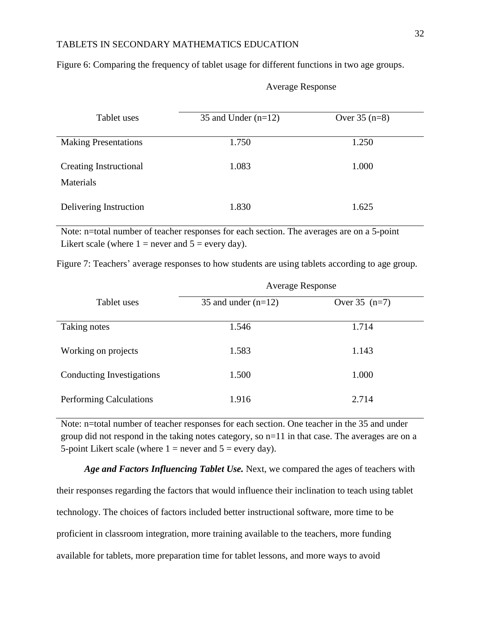| Tablet uses                                | 35 and Under $(n=12)$ | Over $35(n=8)$ |
|--------------------------------------------|-----------------------|----------------|
| <b>Making Presentations</b>                | 1.750                 | 1.250          |
| Creating Instructional<br><b>Materials</b> | 1.083                 | 1.000          |
| Delivering Instruction                     | 1.830                 | 1.625          |

Figure 6: Comparing the frequency of tablet usage for different functions in two age groups.

| Tablet uses                         | 35 and Under $(n=12)$ | Over $35(n=8)$ |
|-------------------------------------|-----------------------|----------------|
| <b>Making Presentations</b>         | 1.750                 | 1.250          |
| Creating Instructional<br>Materials | 1.083                 | 1.000          |
| Delivering Instruction              | 1.830                 | 1.625          |

#### Average Response

Note: n=total number of teacher responses for each section. The averages are on a 5-point Likert scale (where  $1 =$  never and  $5 =$  every day).

Figure 7: Teachers' average responses to how students are using tablets according to age group.

|                           | <b>Average Response</b> |                 |
|---------------------------|-------------------------|-----------------|
| Tablet uses               | 35 and under $(n=12)$   | Over $35$ (n=7) |
| Taking notes              | 1.546                   | 1.714           |
| Working on projects       | 1.583                   | 1.143           |
| Conducting Investigations | 1.500                   | 1.000           |
| Performing Calculations   | 1.916                   | 2.714           |

Note: n=total number of teacher responses for each section. One teacher in the 35 and under group did not respond in the taking notes category, so n=11 in that case. The averages are on a 5-point Likert scale (where  $1 =$  never and  $5 =$  every day).

*Age and Factors Influencing Tablet Use.* Next, we compared the ages of teachers with their responses regarding the factors that would influence their inclination to teach using tablet technology. The choices of factors included better instructional software, more time to be proficient in classroom integration, more training available to the teachers, more funding available for tablets, more preparation time for tablet lessons, and more ways to avoid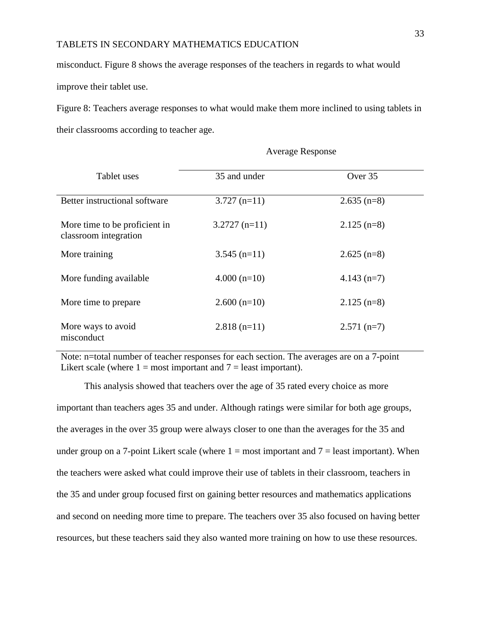misconduct. Figure 8 shows the average responses of the teachers in regards to what would improve their tablet use.

Figure 8: Teachers average responses to what would make them more inclined to using tablets in their classrooms according to teacher age.

| Tablet uses                                            | 35 and under    | Over 35       |  |
|--------------------------------------------------------|-----------------|---------------|--|
| Better instructional software                          | $3.727(n=11)$   | $2.635$ (n=8) |  |
| More time to be proficient in<br>classroom integration | $3.2727$ (n=11) | $2.125$ (n=8) |  |
| More training                                          | $3.545$ (n=11)  | $2.625$ (n=8) |  |
| More funding available                                 | $4.000(n=10)$   | $4.143$ (n=7) |  |
| More time to prepare                                   | $2.600(n=10)$   | $2.125$ (n=8) |  |
| More ways to avoid<br>misconduct                       | $2.818$ (n=11)  | $2.571$ (n=7) |  |

Average Response

Note: n=total number of teacher responses for each section. The averages are on a 7-point Likert scale (where  $1 = \text{most important}$  and  $7 = \text{least important}$ ).

This analysis showed that teachers over the age of 35 rated every choice as more important than teachers ages 35 and under. Although ratings were similar for both age groups, the averages in the over 35 group were always closer to one than the averages for the 35 and under group on a 7-point Likert scale (where  $1 = \text{most important}$  and  $7 = \text{least important}$ ). When the teachers were asked what could improve their use of tablets in their classroom, teachers in the 35 and under group focused first on gaining better resources and mathematics applications and second on needing more time to prepare. The teachers over 35 also focused on having better resources, but these teachers said they also wanted more training on how to use these resources.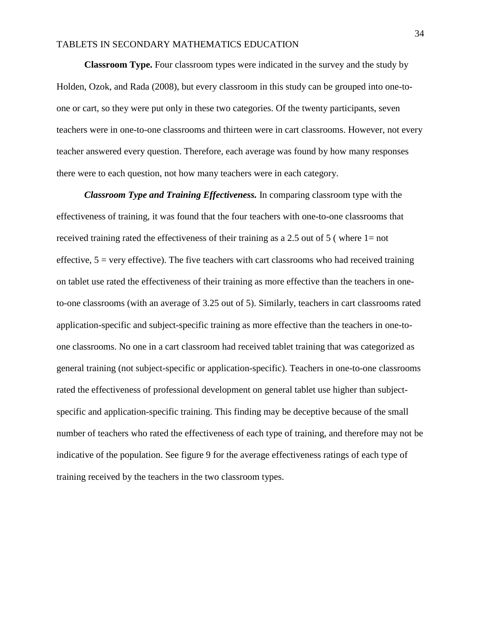**Classroom Type.** Four classroom types were indicated in the survey and the study by Holden, Ozok, and Rada (2008), but every classroom in this study can be grouped into one-toone or cart, so they were put only in these two categories. Of the twenty participants, seven teachers were in one-to-one classrooms and thirteen were in cart classrooms. However, not every teacher answered every question. Therefore, each average was found by how many responses there were to each question, not how many teachers were in each category.

*Classroom Type and Training Effectiveness.* In comparing classroom type with the effectiveness of training, it was found that the four teachers with one-to-one classrooms that received training rated the effectiveness of their training as a 2.5 out of 5 (where  $1=$  not effective,  $5 = \text{very effective}$ . The five teachers with cart classrooms who had received training on tablet use rated the effectiveness of their training as more effective than the teachers in oneto-one classrooms (with an average of 3.25 out of 5). Similarly, teachers in cart classrooms rated application-specific and subject-specific training as more effective than the teachers in one-toone classrooms. No one in a cart classroom had received tablet training that was categorized as general training (not subject-specific or application-specific). Teachers in one-to-one classrooms rated the effectiveness of professional development on general tablet use higher than subjectspecific and application-specific training. This finding may be deceptive because of the small number of teachers who rated the effectiveness of each type of training, and therefore may not be indicative of the population. See figure 9 for the average effectiveness ratings of each type of training received by the teachers in the two classroom types.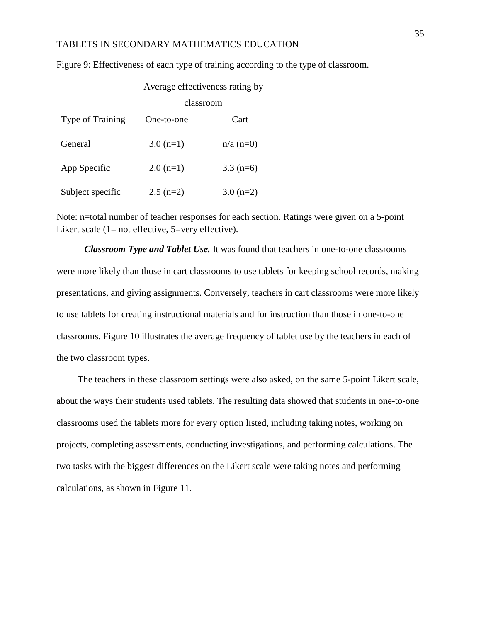Figure 9: Effectiveness of each type of training according to the type of classroom.

|                  | classroom   |                 |
|------------------|-------------|-----------------|
| Type of Training | One-to-one  | Cart            |
| General          | $3.0(n=1)$  | $n/a$ ( $n=0$ ) |
| App Specific     | $2.0(n=1)$  | $3.3(n=6)$      |
| Subject specific | $2.5$ (n=2) | $3.0 (n=2)$     |

Average effectiveness rating by

Note: n=total number of teacher responses for each section. Ratings were given on a 5-point Likert scale  $(1=$  not effective, 5=very effective).

*Classroom Type and Tablet Use.* It was found that teachers in one-to-one classrooms were more likely than those in cart classrooms to use tablets for keeping school records, making presentations, and giving assignments. Conversely, teachers in cart classrooms were more likely to use tablets for creating instructional materials and for instruction than those in one-to-one classrooms. Figure 10 illustrates the average frequency of tablet use by the teachers in each of the two classroom types.

 The teachers in these classroom settings were also asked, on the same 5-point Likert scale, about the ways their students used tablets. The resulting data showed that students in one-to-one classrooms used the tablets more for every option listed, including taking notes, working on projects, completing assessments, conducting investigations, and performing calculations. The two tasks with the biggest differences on the Likert scale were taking notes and performing calculations, as shown in Figure 11.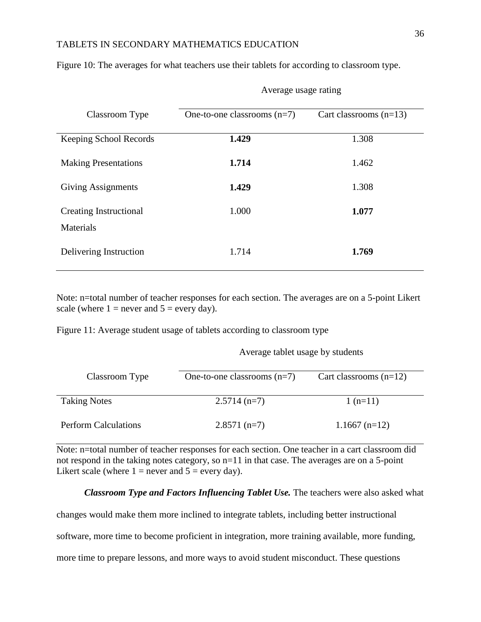| Classroom Type                             | One-to-one classrooms $(n=7)$ | Cart classrooms $(n=13)$ |
|--------------------------------------------|-------------------------------|--------------------------|
| Keeping School Records                     | 1.429                         | 1.308                    |
| <b>Making Presentations</b>                | 1.714                         | 1.462                    |
| Giving Assignments                         | 1.429                         | 1.308                    |
| <b>Creating Instructional</b><br>Materials | 1.000                         | 1.077                    |
| Delivering Instruction                     | 1.714                         | 1.769                    |

Figure 10: The averages for what teachers use their tablets for according to classroom type.

Note: n=total number of teacher responses for each section. The averages are on a 5-point Likert scale (where  $1 =$  never and  $5 =$  every day).

Figure 11: Average student usage of tablets according to classroom type

Average tablet usage by students

Average usage rating

| Classroom Type              | One-to-one classrooms $(n=7)$ | Cart classrooms $(n=12)$ |
|-----------------------------|-------------------------------|--------------------------|
| <b>Taking Notes</b>         | $2.5714(n=7)$                 | $1(n=11)$                |
| <b>Perform Calculations</b> | $2.8571$ (n=7)                | $1.1667$ (n=12)          |

Note: n=total number of teacher responses for each section. One teacher in a cart classroom did not respond in the taking notes category, so n=11 in that case. The averages are on a 5-point Likert scale (where  $1 =$  never and  $5 =$  every day).

#### *Classroom Type and Factors Influencing Tablet Use.* The teachers were also asked what

changes would make them more inclined to integrate tablets, including better instructional software, more time to become proficient in integration, more training available, more funding, more time to prepare lessons, and more ways to avoid student misconduct. These questions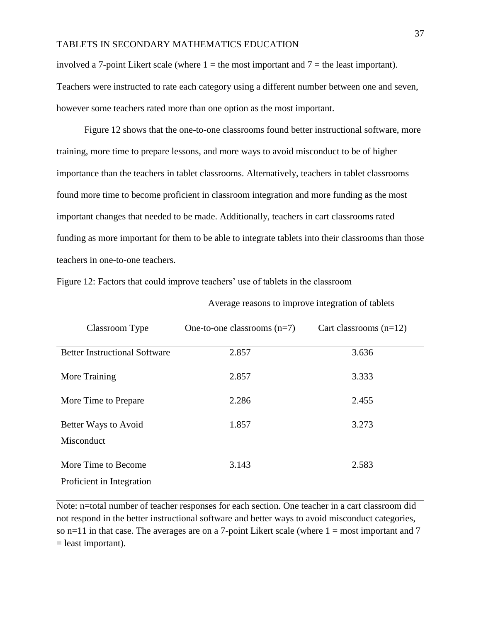involved a 7-point Likert scale (where  $1 =$  the most important and  $7 =$  the least important). Teachers were instructed to rate each category using a different number between one and seven, however some teachers rated more than one option as the most important.

Figure 12 shows that the one-to-one classrooms found better instructional software, more training, more time to prepare lessons, and more ways to avoid misconduct to be of higher importance than the teachers in tablet classrooms. Alternatively, teachers in tablet classrooms found more time to become proficient in classroom integration and more funding as the most important changes that needed to be made. Additionally, teachers in cart classrooms rated funding as more important for them to be able to integrate tablets into their classrooms than those teachers in one-to-one teachers.

| Classroom Type                       | One-to-one classrooms $(n=7)$ | Cart classrooms $(n=12)$ |
|--------------------------------------|-------------------------------|--------------------------|
|                                      |                               |                          |
| <b>Better Instructional Software</b> | 2.857                         | 3.636                    |
|                                      |                               |                          |
| More Training                        | 2.857                         | 3.333                    |
|                                      |                               |                          |
| More Time to Prepare                 | 2.286                         | 2.455                    |
|                                      |                               |                          |
| Better Ways to Avoid                 | 1.857                         | 3.273                    |
| Misconduct                           |                               |                          |
|                                      |                               |                          |
| More Time to Become                  | 3.143                         | 2.583                    |
| Proficient in Integration            |                               |                          |
|                                      |                               |                          |

Figure 12: Factors that could improve teachers' use of tablets in the classroom

Average reasons to improve integration of tablets

Note: n=total number of teacher responses for each section. One teacher in a cart classroom did not respond in the better instructional software and better ways to avoid misconduct categories, so  $n=11$  in that case. The averages are on a 7-point Likert scale (where  $1 = \text{most important}$  and  $7$  $=$  least important).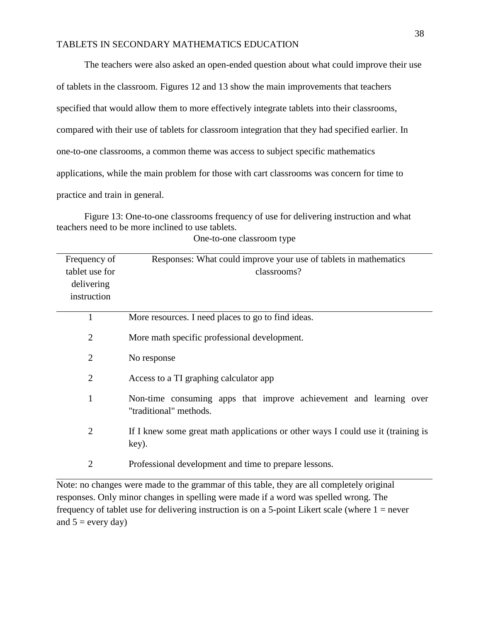The teachers were also asked an open-ended question about what could improve their use of tablets in the classroom. Figures 12 and 13 show the main improvements that teachers specified that would allow them to more effectively integrate tablets into their classrooms, compared with their use of tablets for classroom integration that they had specified earlier. In one-to-one classrooms, a common theme was access to subject specific mathematics applications, while the main problem for those with cart classrooms was concern for time to practice and train in general.

Figure 13: One-to-one classrooms frequency of use for delivering instruction and what teachers need to be more inclined to use tablets.

| Frequency of   | Responses: What could improve your use of tablets in mathematics                             |
|----------------|----------------------------------------------------------------------------------------------|
| tablet use for | classrooms?                                                                                  |
| delivering     |                                                                                              |
| instruction    |                                                                                              |
| $\mathbf{1}$   | More resources. I need places to go to find ideas.                                           |
| $\overline{2}$ | More math specific professional development.                                                 |
| $\overline{2}$ | No response                                                                                  |
| $\overline{2}$ | Access to a TI graphing calculator app                                                       |
| $\mathbf{1}$   | Non-time consuming apps that improve achievement and learning over<br>"traditional" methods. |
| $\overline{2}$ | If I knew some great math applications or other ways I could use it (training is<br>key).    |
| $\overline{2}$ | Professional development and time to prepare lessons.                                        |

One-to-one classroom type

Note: no changes were made to the grammar of this table, they are all completely original responses. Only minor changes in spelling were made if a word was spelled wrong. The frequency of tablet use for delivering instruction is on a 5-point Likert scale (where  $1 =$  never and  $5 =$  every day)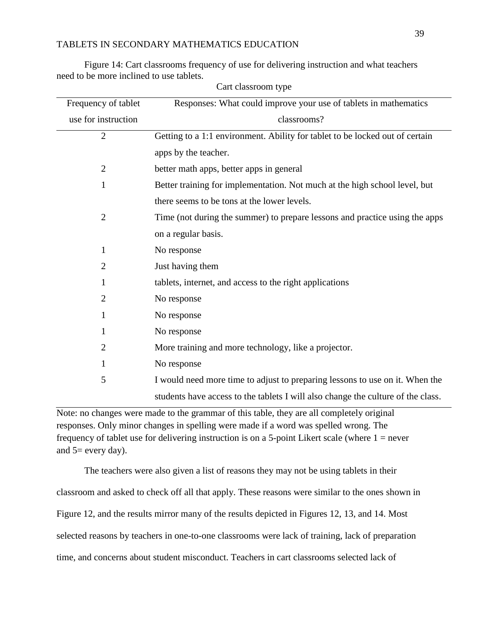Figure 14: Cart classrooms frequency of use for delivering instruction and what teachers need to be more inclined to use tablets.

| Frequency of tablet | Responses: What could improve your use of tablets in mathematics                 |
|---------------------|----------------------------------------------------------------------------------|
| use for instruction | classrooms?                                                                      |
| $\mathbf{2}$        | Getting to a 1:1 environment. Ability for tablet to be locked out of certain     |
|                     | apps by the teacher.                                                             |
| $\overline{2}$      | better math apps, better apps in general                                         |
| $\mathbf{1}$        | Better training for implementation. Not much at the high school level, but       |
|                     | there seems to be tons at the lower levels.                                      |
| $\overline{2}$      | Time (not during the summer) to prepare lessons and practice using the apps      |
|                     | on a regular basis.                                                              |
| $\mathbf{1}$        | No response                                                                      |
| $\overline{2}$      | Just having them                                                                 |
| $\mathbf{1}$        | tablets, internet, and access to the right applications                          |
| 2                   | No response                                                                      |
| $\mathbf{1}$        | No response                                                                      |
| 1                   | No response                                                                      |
| 2                   | More training and more technology, like a projector.                             |
| 1                   | No response                                                                      |
| 5                   | I would need more time to adjust to preparing lessons to use on it. When the     |
|                     | students have access to the tablets I will also change the culture of the class. |

Cart classroom type

Note: no changes were made to the grammar of this table, they are all completely original responses. Only minor changes in spelling were made if a word was spelled wrong. The frequency of tablet use for delivering instruction is on a 5-point Likert scale (where  $1 =$  never and  $5=$  every day).

The teachers were also given a list of reasons they may not be using tablets in their classroom and asked to check off all that apply. These reasons were similar to the ones shown in Figure 12, and the results mirror many of the results depicted in Figures 12, 13, and 14. Most selected reasons by teachers in one-to-one classrooms were lack of training, lack of preparation time, and concerns about student misconduct. Teachers in cart classrooms selected lack of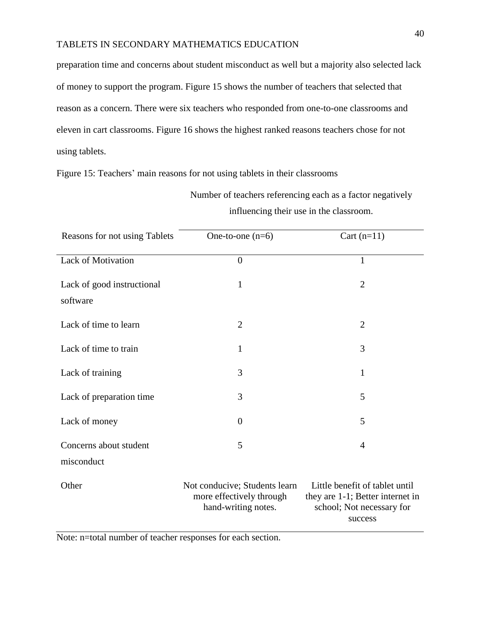preparation time and concerns about student misconduct as well but a majority also selected lack of money to support the program. Figure 15 shows the number of teachers that selected that reason as a concern. There were six teachers who responded from one-to-one classrooms and eleven in cart classrooms. Figure 16 shows the highest ranked reasons teachers chose for not using tablets.

Figure 15: Teachers' main reasons for not using tablets in their classrooms

Number of teachers referencing each as a factor negatively influencing their use in the classroom.

| Reasons for not using Tablets          | One-to-one $(n=6)$                                                               | Cart $(n=11)$                                                                                              |
|----------------------------------------|----------------------------------------------------------------------------------|------------------------------------------------------------------------------------------------------------|
| <b>Lack of Motivation</b>              | $\boldsymbol{0}$                                                                 | $\mathbf{1}$                                                                                               |
| Lack of good instructional<br>software | 1                                                                                | $\overline{2}$                                                                                             |
| Lack of time to learn                  | $\overline{2}$                                                                   | $\overline{2}$                                                                                             |
| Lack of time to train                  | 1                                                                                | 3                                                                                                          |
| Lack of training                       | 3                                                                                | $\mathbf{1}$                                                                                               |
| Lack of preparation time               | 3                                                                                | 5                                                                                                          |
| Lack of money                          | $\overline{0}$                                                                   | 5                                                                                                          |
| Concerns about student<br>misconduct   | 5                                                                                | $\overline{4}$                                                                                             |
| Other                                  | Not conducive; Students learn<br>more effectively through<br>hand-writing notes. | Little benefit of tablet until<br>they are 1-1; Better internet in<br>school; Not necessary for<br>success |

Note: n=total number of teacher responses for each section.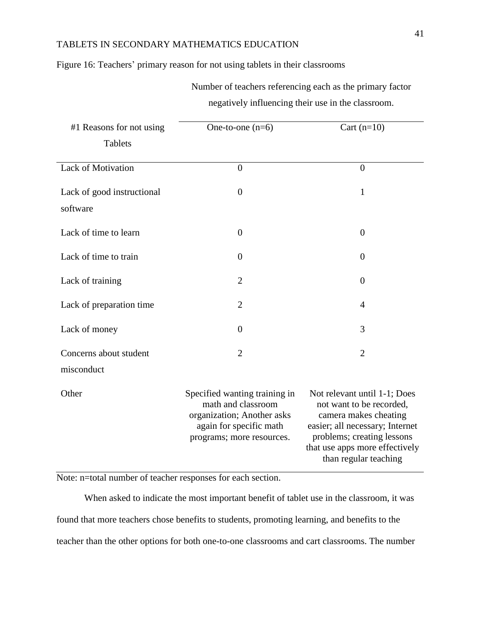Figure 16: Teachers' primary reason for not using tablets in their classrooms

Number of teachers referencing each as the primary factor negatively influencing their use in the classroom.

| #1 Reasons for not using               | One-to-one $(n=6)$                                                                                                                        | Cart $(n=10)$                                                                                                                                                                                                 |
|----------------------------------------|-------------------------------------------------------------------------------------------------------------------------------------------|---------------------------------------------------------------------------------------------------------------------------------------------------------------------------------------------------------------|
| <b>Tablets</b>                         |                                                                                                                                           |                                                                                                                                                                                                               |
| <b>Lack of Motivation</b>              | $\overline{0}$                                                                                                                            | $\overline{0}$                                                                                                                                                                                                |
| Lack of good instructional<br>software | $\overline{0}$                                                                                                                            | $\mathbf{1}$                                                                                                                                                                                                  |
| Lack of time to learn                  | $\theta$                                                                                                                                  | $\boldsymbol{0}$                                                                                                                                                                                              |
| Lack of time to train                  | $\theta$                                                                                                                                  | $\overline{0}$                                                                                                                                                                                                |
| Lack of training                       | $\overline{2}$                                                                                                                            | $\overline{0}$                                                                                                                                                                                                |
| Lack of preparation time               | $\overline{2}$                                                                                                                            | 4                                                                                                                                                                                                             |
| Lack of money                          | $\theta$                                                                                                                                  | 3                                                                                                                                                                                                             |
| Concerns about student                 | $\overline{2}$                                                                                                                            | $\overline{2}$                                                                                                                                                                                                |
| misconduct                             |                                                                                                                                           |                                                                                                                                                                                                               |
| Other                                  | Specified wanting training in<br>math and classroom<br>organization; Another asks<br>again for specific math<br>programs; more resources. | Not relevant until 1-1; Does<br>not want to be recorded,<br>camera makes cheating<br>easier; all necessary; Internet<br>problems; creating lessons<br>that use apps more effectively<br>than regular teaching |

Note: n=total number of teacher responses for each section.

When asked to indicate the most important benefit of tablet use in the classroom, it was found that more teachers chose benefits to students, promoting learning, and benefits to the teacher than the other options for both one-to-one classrooms and cart classrooms. The number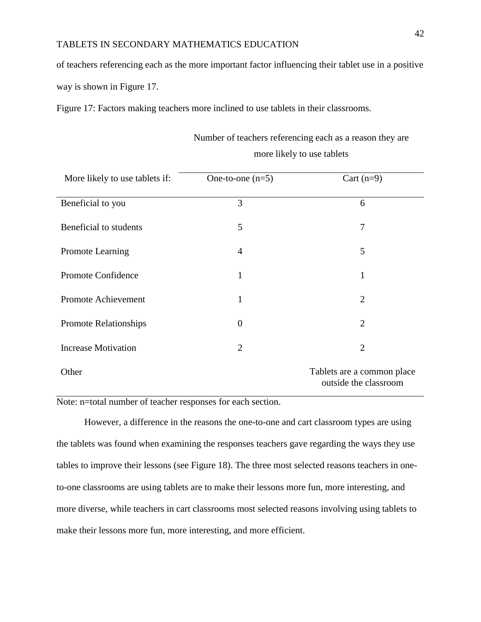of teachers referencing each as the more important factor influencing their tablet use in a positive way is shown in Figure 17.

Figure 17: Factors making teachers more inclined to use tablets in their classrooms.

| More likely to use tablets if: | One-to-one $(n=5)$ | Cart $(n=9)$                                        |
|--------------------------------|--------------------|-----------------------------------------------------|
| Beneficial to you              | 3                  | 6                                                   |
| Beneficial to students         | 5                  | 7                                                   |
| <b>Promote Learning</b>        | 4                  | 5                                                   |
| <b>Promote Confidence</b>      | 1                  | 1                                                   |
| <b>Promote Achievement</b>     | 1                  | $\overline{2}$                                      |
| <b>Promote Relationships</b>   | $\theta$           | $\overline{2}$                                      |
| <b>Increase Motivation</b>     | $\overline{2}$     | $\overline{2}$                                      |
| Other                          |                    | Tablets are a common place<br>outside the classroom |

# Number of teachers referencing each as a reason they are more likely to use tablets

Note: n=total number of teacher responses for each section.

However, a difference in the reasons the one-to-one and cart classroom types are using the tablets was found when examining the responses teachers gave regarding the ways they use tables to improve their lessons (see Figure 18). The three most selected reasons teachers in oneto-one classrooms are using tablets are to make their lessons more fun, more interesting, and more diverse, while teachers in cart classrooms most selected reasons involving using tablets to make their lessons more fun, more interesting, and more efficient.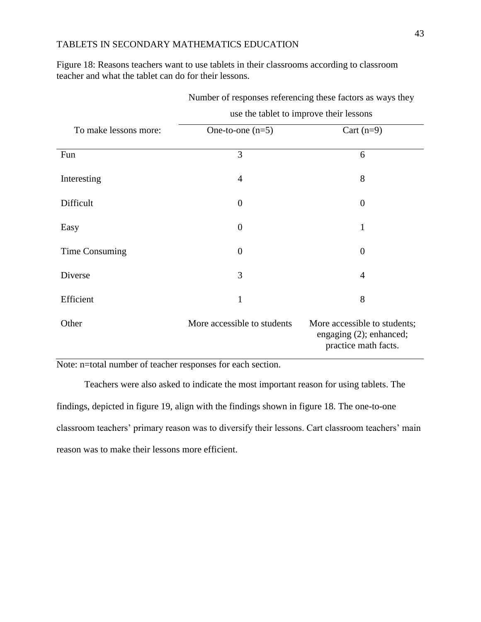Figure 18: Reasons teachers want to use tablets in their classrooms according to classroom teacher and what the tablet can do for their lessons.

| To make lessons more: | One-to-one $(n=5)$          | Cart $(n=9)$                                                                    |
|-----------------------|-----------------------------|---------------------------------------------------------------------------------|
| Fun                   | 3                           | 6                                                                               |
| Interesting           | $\overline{4}$              | 8                                                                               |
| Difficult             | $\overline{0}$              | $\overline{0}$                                                                  |
| Easy                  | $\overline{0}$              | $\mathbf{1}$                                                                    |
| Time Consuming        | $\overline{0}$              | $\theta$                                                                        |
| Diverse               | 3                           | $\overline{4}$                                                                  |
| Efficient             | $\mathbf{1}$                | 8                                                                               |
| Other                 | More accessible to students | More accessible to students;<br>engaging (2); enhanced;<br>practice math facts. |

Number of responses referencing these factors as ways they use the tablet to improve their lessons

Note: n=total number of teacher responses for each section.

Teachers were also asked to indicate the most important reason for using tablets. The findings, depicted in figure 19, align with the findings shown in figure 18. The one-to-one classroom teachers' primary reason was to diversify their lessons. Cart classroom teachers' main reason was to make their lessons more efficient.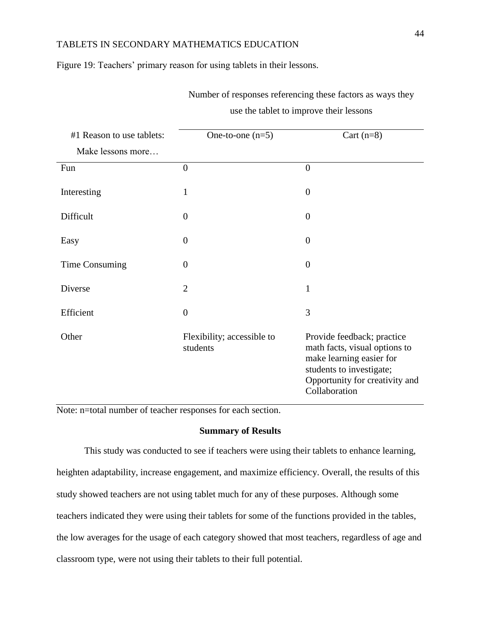Figure 19: Teachers' primary reason for using tablets in their lessons.

| #1 Reason to use tablets:<br>Make lessons more | One-to-one $(n=5)$                     | Cart $(n=8)$                                                                                                                                                           |
|------------------------------------------------|----------------------------------------|------------------------------------------------------------------------------------------------------------------------------------------------------------------------|
| Fun                                            | $\overline{0}$                         | $\overline{0}$                                                                                                                                                         |
| Interesting                                    | 1                                      | $\theta$                                                                                                                                                               |
| Difficult                                      | $\overline{0}$                         | $\theta$                                                                                                                                                               |
| Easy                                           | $\overline{0}$                         | $\boldsymbol{0}$                                                                                                                                                       |
| Time Consuming                                 | $\overline{0}$                         | $\theta$                                                                                                                                                               |
| Diverse                                        | $\overline{2}$                         | $\mathbf{1}$                                                                                                                                                           |
| Efficient                                      | $\overline{0}$                         | 3                                                                                                                                                                      |
| Other                                          | Flexibility; accessible to<br>students | Provide feedback; practice<br>math facts, visual options to<br>make learning easier for<br>students to investigate;<br>Opportunity for creativity and<br>Collaboration |

Number of responses referencing these factors as ways they use the tablet to improve their lessons

Note: n=total number of teacher responses for each section.

#### **Summary of Results**

This study was conducted to see if teachers were using their tablets to enhance learning, heighten adaptability, increase engagement, and maximize efficiency. Overall, the results of this study showed teachers are not using tablet much for any of these purposes. Although some teachers indicated they were using their tablets for some of the functions provided in the tables, the low averages for the usage of each category showed that most teachers, regardless of age and classroom type, were not using their tablets to their full potential.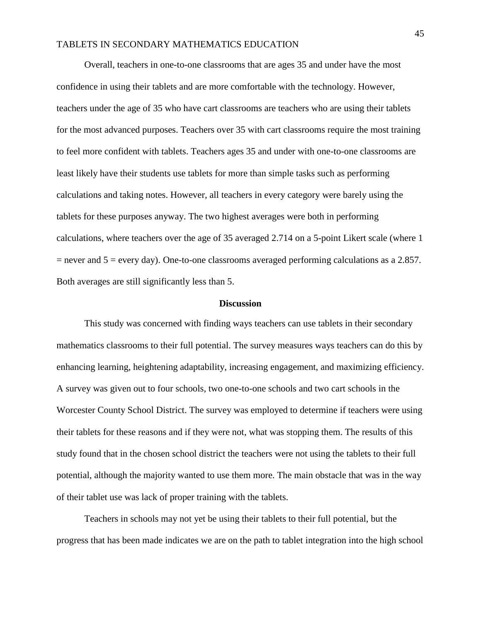Overall, teachers in one-to-one classrooms that are ages 35 and under have the most confidence in using their tablets and are more comfortable with the technology. However, teachers under the age of 35 who have cart classrooms are teachers who are using their tablets for the most advanced purposes. Teachers over 35 with cart classrooms require the most training to feel more confident with tablets. Teachers ages 35 and under with one-to-one classrooms are least likely have their students use tablets for more than simple tasks such as performing calculations and taking notes. However, all teachers in every category were barely using the tablets for these purposes anyway. The two highest averages were both in performing calculations, where teachers over the age of 35 averaged 2.714 on a 5-point Likert scale (where 1  $=$  never and  $5 =$  every day). One-to-one classrooms averaged performing calculations as a 2.857. Both averages are still significantly less than 5.

#### **Discussion**

This study was concerned with finding ways teachers can use tablets in their secondary mathematics classrooms to their full potential. The survey measures ways teachers can do this by enhancing learning, heightening adaptability, increasing engagement, and maximizing efficiency. A survey was given out to four schools, two one-to-one schools and two cart schools in the Worcester County School District. The survey was employed to determine if teachers were using their tablets for these reasons and if they were not, what was stopping them. The results of this study found that in the chosen school district the teachers were not using the tablets to their full potential, although the majority wanted to use them more. The main obstacle that was in the way of their tablet use was lack of proper training with the tablets.

Teachers in schools may not yet be using their tablets to their full potential, but the progress that has been made indicates we are on the path to tablet integration into the high school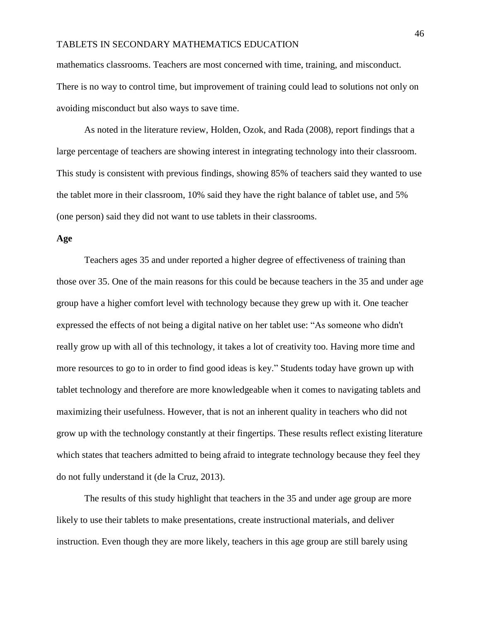mathematics classrooms. Teachers are most concerned with time, training, and misconduct. There is no way to control time, but improvement of training could lead to solutions not only on avoiding misconduct but also ways to save time.

As noted in the literature review, Holden, Ozok, and Rada (2008), report findings that a large percentage of teachers are showing interest in integrating technology into their classroom. This study is consistent with previous findings, showing 85% of teachers said they wanted to use the tablet more in their classroom, 10% said they have the right balance of tablet use, and 5% (one person) said they did not want to use tablets in their classrooms.

#### **Age**

Teachers ages 35 and under reported a higher degree of effectiveness of training than those over 35. One of the main reasons for this could be because teachers in the 35 and under age group have a higher comfort level with technology because they grew up with it. One teacher expressed the effects of not being a digital native on her tablet use: "As someone who didn't really grow up with all of this technology, it takes a lot of creativity too. Having more time and more resources to go to in order to find good ideas is key." Students today have grown up with tablet technology and therefore are more knowledgeable when it comes to navigating tablets and maximizing their usefulness. However, that is not an inherent quality in teachers who did not grow up with the technology constantly at their fingertips. These results reflect existing literature which states that teachers admitted to being afraid to integrate technology because they feel they do not fully understand it (de la Cruz, 2013).

The results of this study highlight that teachers in the 35 and under age group are more likely to use their tablets to make presentations, create instructional materials, and deliver instruction. Even though they are more likely, teachers in this age group are still barely using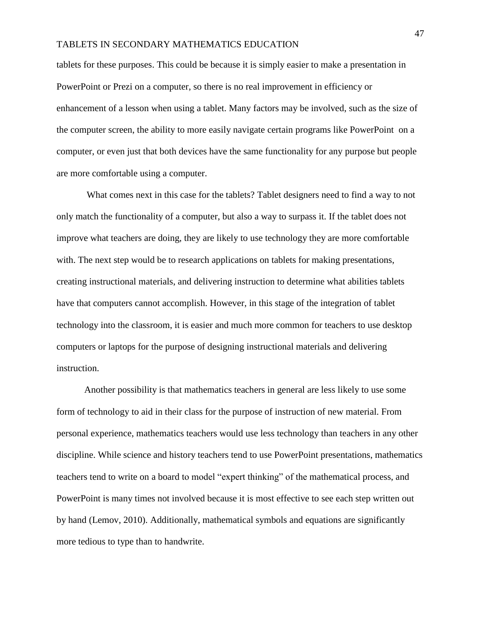tablets for these purposes. This could be because it is simply easier to make a presentation in PowerPoint or Prezi on a computer, so there is no real improvement in efficiency or enhancement of a lesson when using a tablet. Many factors may be involved, such as the size of the computer screen, the ability to more easily navigate certain programs like PowerPoint on a computer, or even just that both devices have the same functionality for any purpose but people are more comfortable using a computer.

What comes next in this case for the tablets? Tablet designers need to find a way to not only match the functionality of a computer, but also a way to surpass it. If the tablet does not improve what teachers are doing, they are likely to use technology they are more comfortable with. The next step would be to research applications on tablets for making presentations, creating instructional materials, and delivering instruction to determine what abilities tablets have that computers cannot accomplish. However, in this stage of the integration of tablet technology into the classroom, it is easier and much more common for teachers to use desktop computers or laptops for the purpose of designing instructional materials and delivering instruction.

Another possibility is that mathematics teachers in general are less likely to use some form of technology to aid in their class for the purpose of instruction of new material. From personal experience, mathematics teachers would use less technology than teachers in any other discipline. While science and history teachers tend to use PowerPoint presentations, mathematics teachers tend to write on a board to model "expert thinking" of the mathematical process, and PowerPoint is many times not involved because it is most effective to see each step written out by hand (Lemov, 2010). Additionally, mathematical symbols and equations are significantly more tedious to type than to handwrite.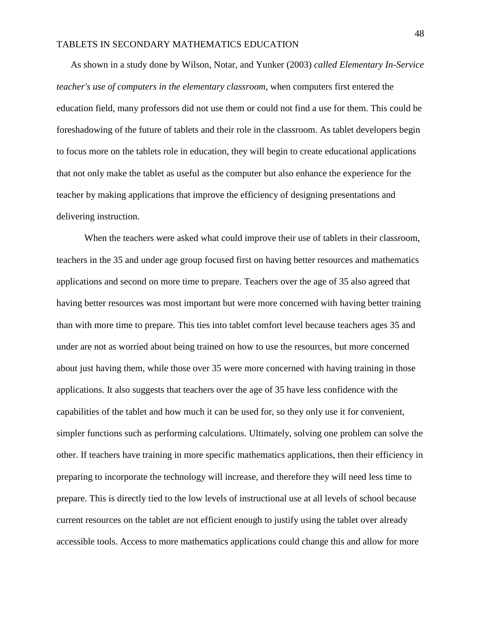As shown in a study done by Wilson, Notar, and Yunker (2003) *called Elementary In-Service teacher's use of computers in the elementary classroom*, when computers first entered the education field, many professors did not use them or could not find a use for them. This could be foreshadowing of the future of tablets and their role in the classroom. As tablet developers begin to focus more on the tablets role in education, they will begin to create educational applications that not only make the tablet as useful as the computer but also enhance the experience for the teacher by making applications that improve the efficiency of designing presentations and delivering instruction.

When the teachers were asked what could improve their use of tablets in their classroom, teachers in the 35 and under age group focused first on having better resources and mathematics applications and second on more time to prepare. Teachers over the age of 35 also agreed that having better resources was most important but were more concerned with having better training than with more time to prepare. This ties into tablet comfort level because teachers ages 35 and under are not as worried about being trained on how to use the resources, but more concerned about just having them, while those over 35 were more concerned with having training in those applications. It also suggests that teachers over the age of 35 have less confidence with the capabilities of the tablet and how much it can be used for, so they only use it for convenient, simpler functions such as performing calculations. Ultimately, solving one problem can solve the other. If teachers have training in more specific mathematics applications, then their efficiency in preparing to incorporate the technology will increase, and therefore they will need less time to prepare. This is directly tied to the low levels of instructional use at all levels of school because current resources on the tablet are not efficient enough to justify using the tablet over already accessible tools. Access to more mathematics applications could change this and allow for more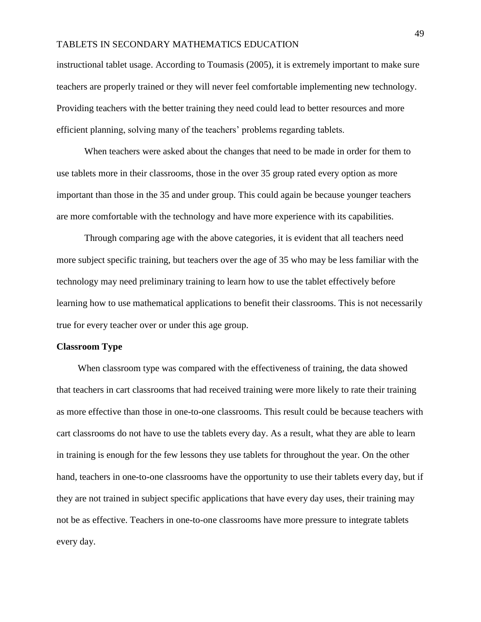instructional tablet usage. According to Toumasis (2005), it is extremely important to make sure teachers are properly trained or they will never feel comfortable implementing new technology. Providing teachers with the better training they need could lead to better resources and more efficient planning, solving many of the teachers' problems regarding tablets.

When teachers were asked about the changes that need to be made in order for them to use tablets more in their classrooms, those in the over 35 group rated every option as more important than those in the 35 and under group. This could again be because younger teachers are more comfortable with the technology and have more experience with its capabilities.

Through comparing age with the above categories, it is evident that all teachers need more subject specific training, but teachers over the age of 35 who may be less familiar with the technology may need preliminary training to learn how to use the tablet effectively before learning how to use mathematical applications to benefit their classrooms. This is not necessarily true for every teacher over or under this age group.

#### **Classroom Type**

 When classroom type was compared with the effectiveness of training, the data showed that teachers in cart classrooms that had received training were more likely to rate their training as more effective than those in one-to-one classrooms. This result could be because teachers with cart classrooms do not have to use the tablets every day. As a result, what they are able to learn in training is enough for the few lessons they use tablets for throughout the year. On the other hand, teachers in one-to-one classrooms have the opportunity to use their tablets every day, but if they are not trained in subject specific applications that have every day uses, their training may not be as effective. Teachers in one-to-one classrooms have more pressure to integrate tablets every day.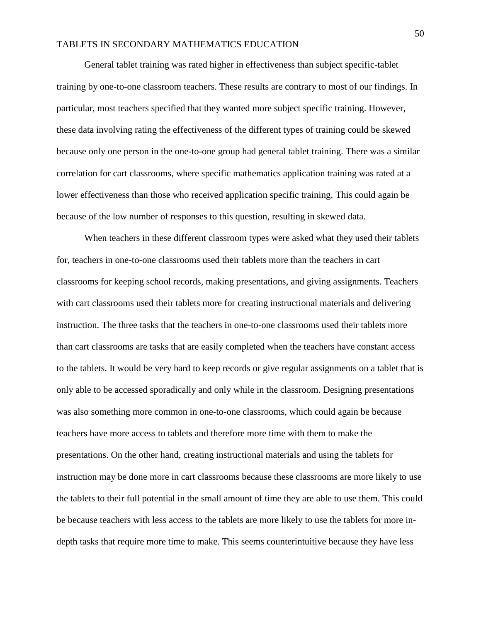General tablet training was rated higher in effectiveness than subject specific-tablet training by one-to-one classroom teachers. These results are contrary to most of our findings. In particular, most teachers specified that they wanted more subject specific training. However, these data involving rating the effectiveness of the different types of training could be skewed because only one person in the one-to-one group had general tablet training. There was a similar correlation for cart classrooms, where specific mathematics application training was rated at a lower effectiveness than those who received application specific training. This could again be because of the low number of responses to this question, resulting in skewed data.

When teachers in these different classroom types were asked what they used their tablets for, teachers in one-to-one classrooms used their tablets more than the teachers in cart classrooms for keeping school records, making presentations, and giving assignments. Teachers with cart classrooms used their tablets more for creating instructional materials and delivering instruction. The three tasks that the teachers in one-to-one classrooms used their tablets more than cart classrooms are tasks that are easily completed when the teachers have constant access to the tablets. It would be very hard to keep records or give regular assignments on a tablet that is only able to be accessed sporadically and only while in the classroom. Designing presentations was also something more common in one-to-one classrooms, which could again be because teachers have more access to tablets and therefore more time with them to make the presentations. On the other hand, creating instructional materials and using the tablets for instruction may be done more in cart classrooms because these classrooms are more likely to use the tablets to their full potential in the small amount of time they are able to use them. This could be because teachers with less access to the tablets are more likely to use the tablets for more indepth tasks that require more time to make. This seems counterintuitive because they have less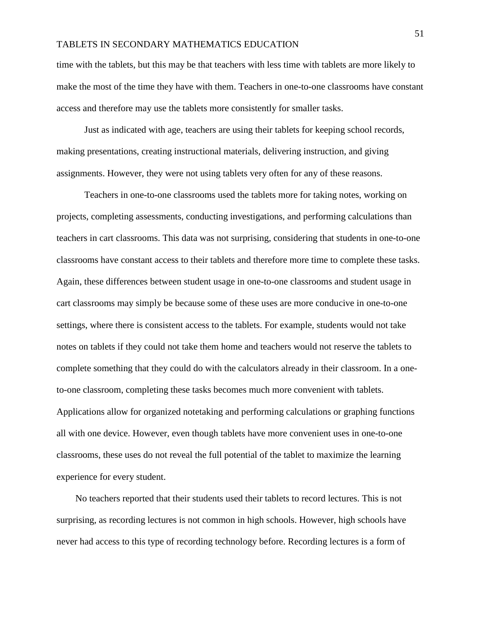time with the tablets, but this may be that teachers with less time with tablets are more likely to make the most of the time they have with them. Teachers in one-to-one classrooms have constant access and therefore may use the tablets more consistently for smaller tasks.

Just as indicated with age, teachers are using their tablets for keeping school records, making presentations, creating instructional materials, delivering instruction, and giving assignments. However, they were not using tablets very often for any of these reasons.

Teachers in one-to-one classrooms used the tablets more for taking notes, working on projects, completing assessments, conducting investigations, and performing calculations than teachers in cart classrooms. This data was not surprising, considering that students in one-to-one classrooms have constant access to their tablets and therefore more time to complete these tasks. Again, these differences between student usage in one-to-one classrooms and student usage in cart classrooms may simply be because some of these uses are more conducive in one-to-one settings, where there is consistent access to the tablets. For example, students would not take notes on tablets if they could not take them home and teachers would not reserve the tablets to complete something that they could do with the calculators already in their classroom. In a oneto-one classroom, completing these tasks becomes much more convenient with tablets. Applications allow for organized notetaking and performing calculations or graphing functions all with one device. However, even though tablets have more convenient uses in one-to-one classrooms, these uses do not reveal the full potential of the tablet to maximize the learning experience for every student.

 No teachers reported that their students used their tablets to record lectures. This is not surprising, as recording lectures is not common in high schools. However, high schools have never had access to this type of recording technology before. Recording lectures is a form of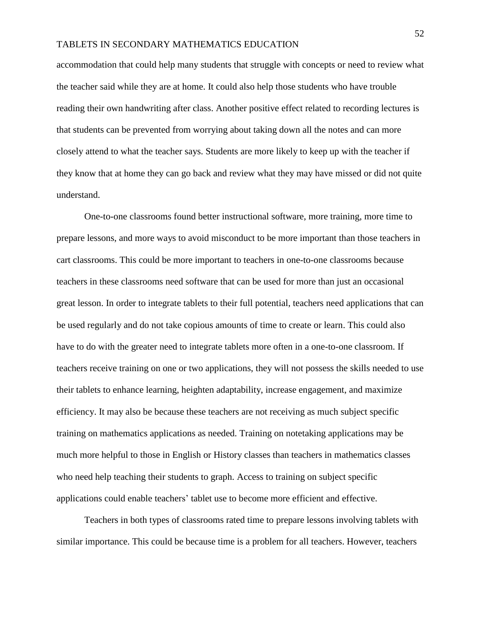accommodation that could help many students that struggle with concepts or need to review what the teacher said while they are at home. It could also help those students who have trouble reading their own handwriting after class. Another positive effect related to recording lectures is that students can be prevented from worrying about taking down all the notes and can more closely attend to what the teacher says. Students are more likely to keep up with the teacher if they know that at home they can go back and review what they may have missed or did not quite understand.

One-to-one classrooms found better instructional software, more training, more time to prepare lessons, and more ways to avoid misconduct to be more important than those teachers in cart classrooms. This could be more important to teachers in one-to-one classrooms because teachers in these classrooms need software that can be used for more than just an occasional great lesson. In order to integrate tablets to their full potential, teachers need applications that can be used regularly and do not take copious amounts of time to create or learn. This could also have to do with the greater need to integrate tablets more often in a one-to-one classroom. If teachers receive training on one or two applications, they will not possess the skills needed to use their tablets to enhance learning, heighten adaptability, increase engagement, and maximize efficiency. It may also be because these teachers are not receiving as much subject specific training on mathematics applications as needed. Training on notetaking applications may be much more helpful to those in English or History classes than teachers in mathematics classes who need help teaching their students to graph. Access to training on subject specific applications could enable teachers' tablet use to become more efficient and effective.

Teachers in both types of classrooms rated time to prepare lessons involving tablets with similar importance. This could be because time is a problem for all teachers. However, teachers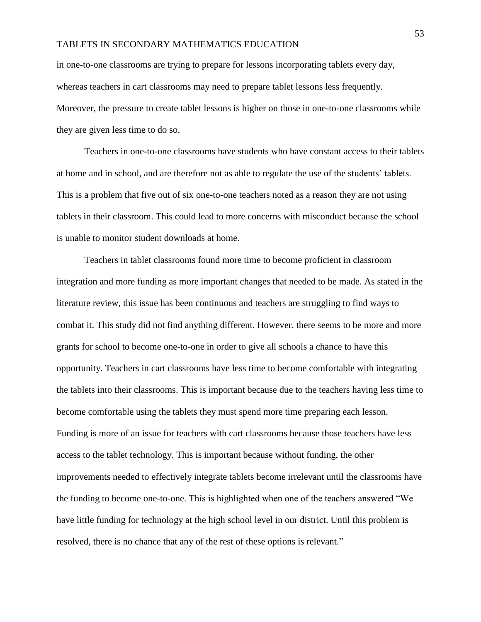in one-to-one classrooms are trying to prepare for lessons incorporating tablets every day, whereas teachers in cart classrooms may need to prepare tablet lessons less frequently. Moreover, the pressure to create tablet lessons is higher on those in one-to-one classrooms while they are given less time to do so.

Teachers in one-to-one classrooms have students who have constant access to their tablets at home and in school, and are therefore not as able to regulate the use of the students' tablets. This is a problem that five out of six one-to-one teachers noted as a reason they are not using tablets in their classroom. This could lead to more concerns with misconduct because the school is unable to monitor student downloads at home.

Teachers in tablet classrooms found more time to become proficient in classroom integration and more funding as more important changes that needed to be made. As stated in the literature review, this issue has been continuous and teachers are struggling to find ways to combat it. This study did not find anything different. However, there seems to be more and more grants for school to become one-to-one in order to give all schools a chance to have this opportunity. Teachers in cart classrooms have less time to become comfortable with integrating the tablets into their classrooms. This is important because due to the teachers having less time to become comfortable using the tablets they must spend more time preparing each lesson. Funding is more of an issue for teachers with cart classrooms because those teachers have less access to the tablet technology. This is important because without funding, the other improvements needed to effectively integrate tablets become irrelevant until the classrooms have the funding to become one-to-one. This is highlighted when one of the teachers answered "We have little funding for technology at the high school level in our district. Until this problem is resolved, there is no chance that any of the rest of these options is relevant."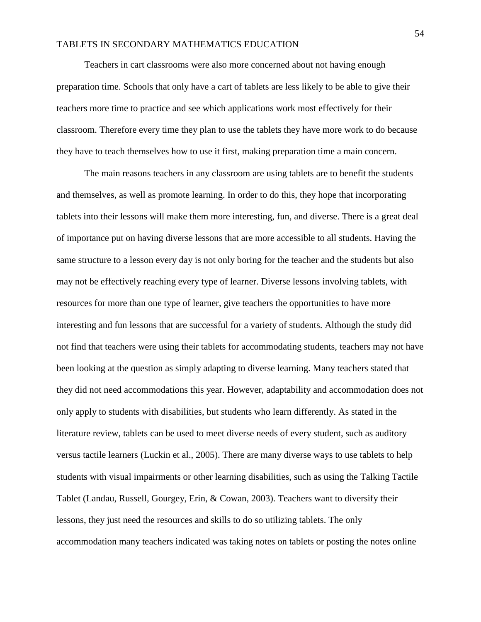Teachers in cart classrooms were also more concerned about not having enough preparation time. Schools that only have a cart of tablets are less likely to be able to give their teachers more time to practice and see which applications work most effectively for their classroom. Therefore every time they plan to use the tablets they have more work to do because they have to teach themselves how to use it first, making preparation time a main concern.

The main reasons teachers in any classroom are using tablets are to benefit the students and themselves, as well as promote learning. In order to do this, they hope that incorporating tablets into their lessons will make them more interesting, fun, and diverse. There is a great deal of importance put on having diverse lessons that are more accessible to all students. Having the same structure to a lesson every day is not only boring for the teacher and the students but also may not be effectively reaching every type of learner. Diverse lessons involving tablets, with resources for more than one type of learner, give teachers the opportunities to have more interesting and fun lessons that are successful for a variety of students. Although the study did not find that teachers were using their tablets for accommodating students, teachers may not have been looking at the question as simply adapting to diverse learning. Many teachers stated that they did not need accommodations this year. However, adaptability and accommodation does not only apply to students with disabilities, but students who learn differently. As stated in the literature review, tablets can be used to meet diverse needs of every student, such as auditory versus tactile learners (Luckin et al., 2005). There are many diverse ways to use tablets to help students with visual impairments or other learning disabilities, such as using the Talking Tactile Tablet (Landau, Russell, Gourgey, Erin, & Cowan, 2003). Teachers want to diversify their lessons, they just need the resources and skills to do so utilizing tablets. The only accommodation many teachers indicated was taking notes on tablets or posting the notes online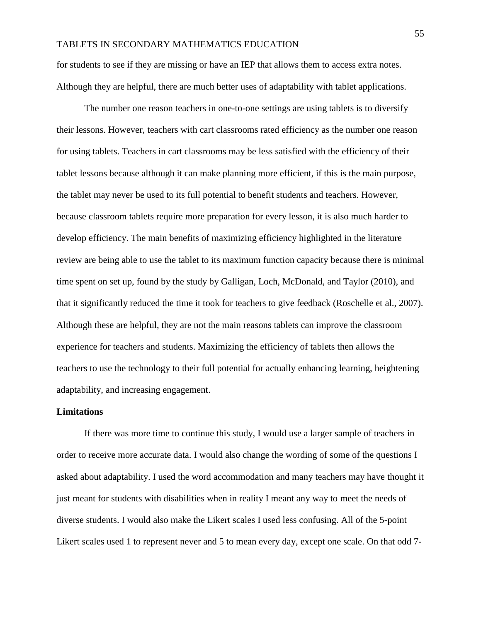for students to see if they are missing or have an IEP that allows them to access extra notes. Although they are helpful, there are much better uses of adaptability with tablet applications.

The number one reason teachers in one-to-one settings are using tablets is to diversify their lessons. However, teachers with cart classrooms rated efficiency as the number one reason for using tablets. Teachers in cart classrooms may be less satisfied with the efficiency of their tablet lessons because although it can make planning more efficient, if this is the main purpose, the tablet may never be used to its full potential to benefit students and teachers. However, because classroom tablets require more preparation for every lesson, it is also much harder to develop efficiency. The main benefits of maximizing efficiency highlighted in the literature review are being able to use the tablet to its maximum function capacity because there is minimal time spent on set up, found by the study by Galligan, Loch, McDonald, and Taylor (2010), and that it significantly reduced the time it took for teachers to give feedback (Roschelle et al., 2007). Although these are helpful, they are not the main reasons tablets can improve the classroom experience for teachers and students. Maximizing the efficiency of tablets then allows the teachers to use the technology to their full potential for actually enhancing learning, heightening adaptability, and increasing engagement.

#### **Limitations**

If there was more time to continue this study, I would use a larger sample of teachers in order to receive more accurate data. I would also change the wording of some of the questions I asked about adaptability. I used the word accommodation and many teachers may have thought it just meant for students with disabilities when in reality I meant any way to meet the needs of diverse students. I would also make the Likert scales I used less confusing. All of the 5-point Likert scales used 1 to represent never and 5 to mean every day, except one scale. On that odd 7-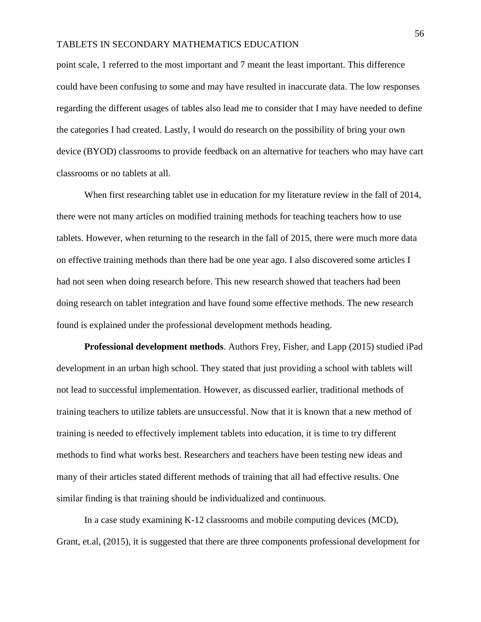point scale, 1 referred to the most important and 7 meant the least important. This difference could have been confusing to some and may have resulted in inaccurate data. The low responses regarding the different usages of tables also lead me to consider that I may have needed to define the categories I had created. Lastly, I would do research on the possibility of bring your own device (BYOD) classrooms to provide feedback on an alternative for teachers who may have cart classrooms or no tablets at all.

When first researching tablet use in education for my literature review in the fall of 2014, there were not many articles on modified training methods for teaching teachers how to use tablets. However, when returning to the research in the fall of 2015, there were much more data on effective training methods than there had be one year ago. I also discovered some articles I had not seen when doing research before. This new research showed that teachers had been doing research on tablet integration and have found some effective methods. The new research found is explained under the professional development methods heading.

**Professional development methods**. Authors Frey, Fisher, and Lapp (2015) studied iPad development in an urban high school. They stated that just providing a school with tablets will not lead to successful implementation. However, as discussed earlier, traditional methods of training teachers to utilize tablets are unsuccessful. Now that it is known that a new method of training is needed to effectively implement tablets into education, it is time to try different methods to find what works best. Researchers and teachers have been testing new ideas and many of their articles stated different methods of training that all had effective results. One similar finding is that training should be individualized and continuous.

In a case study examining K-12 classrooms and mobile computing devices (MCD), Grant, et.al, (2015), it is suggested that there are three components professional development for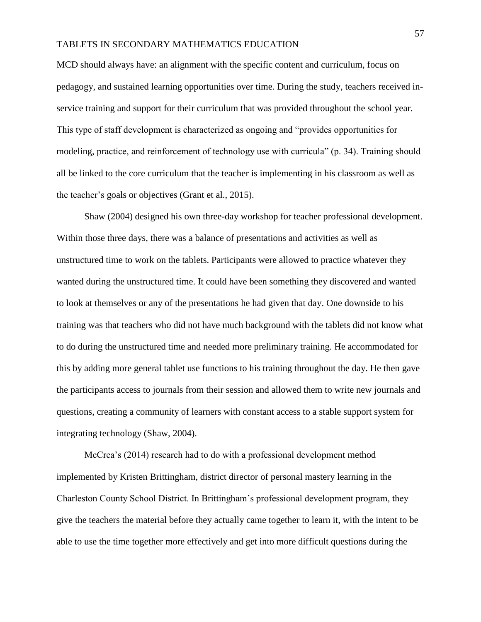MCD should always have: an alignment with the specific content and curriculum, focus on pedagogy, and sustained learning opportunities over time. During the study, teachers received inservice training and support for their curriculum that was provided throughout the school year. This type of staff development is characterized as ongoing and "provides opportunities for modeling, practice, and reinforcement of technology use with curricula" (p. 34). Training should all be linked to the core curriculum that the teacher is implementing in his classroom as well as the teacher's goals or objectives (Grant et al., 2015).

Shaw (2004) designed his own three-day workshop for teacher professional development. Within those three days, there was a balance of presentations and activities as well as unstructured time to work on the tablets. Participants were allowed to practice whatever they wanted during the unstructured time. It could have been something they discovered and wanted to look at themselves or any of the presentations he had given that day. One downside to his training was that teachers who did not have much background with the tablets did not know what to do during the unstructured time and needed more preliminary training. He accommodated for this by adding more general tablet use functions to his training throughout the day. He then gave the participants access to journals from their session and allowed them to write new journals and questions, creating a community of learners with constant access to a stable support system for integrating technology (Shaw, 2004).

McCrea's (2014) research had to do with a professional development method implemented by Kristen Brittingham, district director of personal mastery learning in the Charleston County School District. In Brittingham's professional development program, they give the teachers the material before they actually came together to learn it, with the intent to be able to use the time together more effectively and get into more difficult questions during the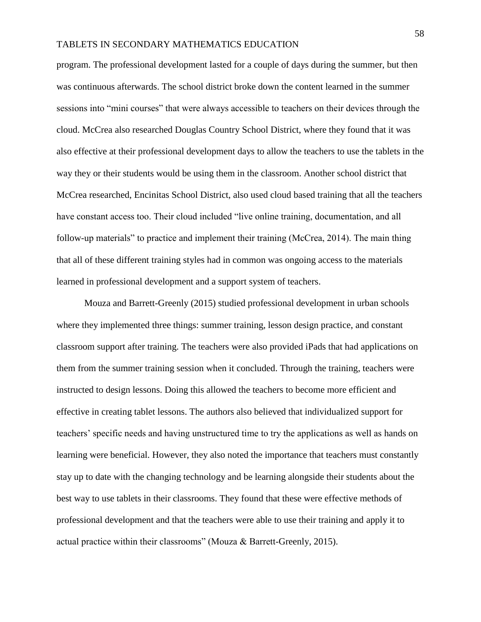program. The professional development lasted for a couple of days during the summer, but then was continuous afterwards. The school district broke down the content learned in the summer sessions into "mini courses" that were always accessible to teachers on their devices through the cloud. McCrea also researched Douglas Country School District, where they found that it was also effective at their professional development days to allow the teachers to use the tablets in the way they or their students would be using them in the classroom. Another school district that McCrea researched, Encinitas School District, also used cloud based training that all the teachers have constant access too. Their cloud included "live online training, documentation, and all follow-up materials" to practice and implement their training (McCrea, 2014). The main thing that all of these different training styles had in common was ongoing access to the materials learned in professional development and a support system of teachers.

Mouza and Barrett-Greenly (2015) studied professional development in urban schools where they implemented three things: summer training, lesson design practice, and constant classroom support after training. The teachers were also provided iPads that had applications on them from the summer training session when it concluded. Through the training, teachers were instructed to design lessons. Doing this allowed the teachers to become more efficient and effective in creating tablet lessons. The authors also believed that individualized support for teachers' specific needs and having unstructured time to try the applications as well as hands on learning were beneficial. However, they also noted the importance that teachers must constantly stay up to date with the changing technology and be learning alongside their students about the best way to use tablets in their classrooms. They found that these were effective methods of professional development and that the teachers were able to use their training and apply it to actual practice within their classrooms" (Mouza & Barrett-Greenly, 2015).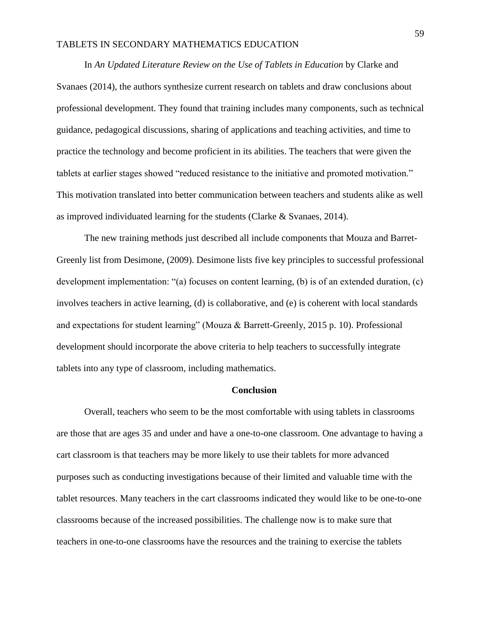In *An Updated Literature Review on the Use of Tablets in Education* by Clarke and Svanaes (2014), the authors synthesize current research on tablets and draw conclusions about professional development. They found that training includes many components, such as technical guidance, pedagogical discussions, sharing of applications and teaching activities, and time to practice the technology and become proficient in its abilities. The teachers that were given the tablets at earlier stages showed "reduced resistance to the initiative and promoted motivation." This motivation translated into better communication between teachers and students alike as well as improved individuated learning for the students (Clarke & Svanaes, 2014).

The new training methods just described all include components that Mouza and Barret-Greenly list from Desimone, (2009). Desimone lists five key principles to successful professional development implementation: "(a) focuses on content learning, (b) is of an extended duration, (c) involves teachers in active learning, (d) is collaborative, and (e) is coherent with local standards and expectations for student learning" (Mouza & Barrett-Greenly, 2015 p. 10). Professional development should incorporate the above criteria to help teachers to successfully integrate tablets into any type of classroom, including mathematics.

#### **Conclusion**

Overall, teachers who seem to be the most comfortable with using tablets in classrooms are those that are ages 35 and under and have a one-to-one classroom. One advantage to having a cart classroom is that teachers may be more likely to use their tablets for more advanced purposes such as conducting investigations because of their limited and valuable time with the tablet resources. Many teachers in the cart classrooms indicated they would like to be one-to-one classrooms because of the increased possibilities. The challenge now is to make sure that teachers in one-to-one classrooms have the resources and the training to exercise the tablets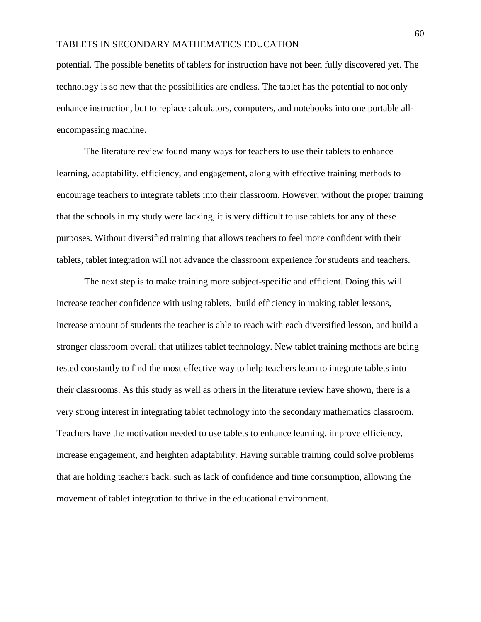potential. The possible benefits of tablets for instruction have not been fully discovered yet. The technology is so new that the possibilities are endless. The tablet has the potential to not only enhance instruction, but to replace calculators, computers, and notebooks into one portable allencompassing machine.

The literature review found many ways for teachers to use their tablets to enhance learning, adaptability, efficiency, and engagement, along with effective training methods to encourage teachers to integrate tablets into their classroom. However, without the proper training that the schools in my study were lacking, it is very difficult to use tablets for any of these purposes. Without diversified training that allows teachers to feel more confident with their tablets, tablet integration will not advance the classroom experience for students and teachers.

The next step is to make training more subject-specific and efficient. Doing this will increase teacher confidence with using tablets, build efficiency in making tablet lessons, increase amount of students the teacher is able to reach with each diversified lesson, and build a stronger classroom overall that utilizes tablet technology. New tablet training methods are being tested constantly to find the most effective way to help teachers learn to integrate tablets into their classrooms. As this study as well as others in the literature review have shown, there is a very strong interest in integrating tablet technology into the secondary mathematics classroom. Teachers have the motivation needed to use tablets to enhance learning, improve efficiency, increase engagement, and heighten adaptability. Having suitable training could solve problems that are holding teachers back, such as lack of confidence and time consumption, allowing the movement of tablet integration to thrive in the educational environment.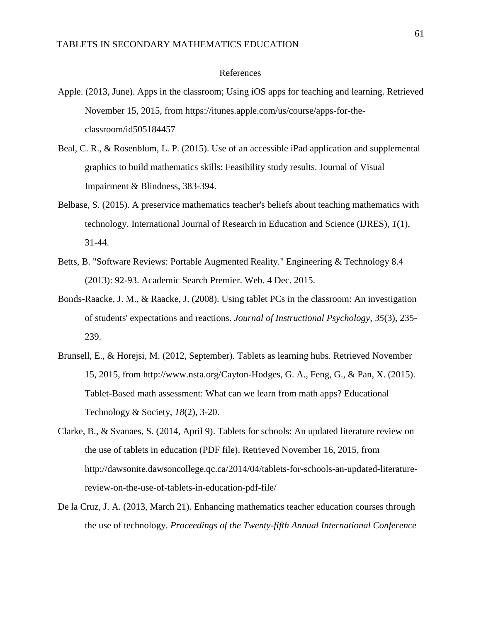#### References

- Apple. (2013, June). Apps in the classroom; Using iOS apps for teaching and learning. Retrieved November 15, 2015, from https://itunes.apple.com/us/course/apps-for-theclassroom/id505184457
- Beal, C. R., & Rosenblum, L. P. (2015). Use of an accessible iPad application and supplemental graphics to build mathematics skills: Feasibility study results. Journal of Visual Impairment & Blindness, 383-394.
- Belbase, S. (2015). A preservice mathematics teacher's beliefs about teaching mathematics with technology. International Journal of Research in Education and Science (IJRES), *1*(1), 31-44.
- Betts, B. "Software Reviews: Portable Augmented Reality." Engineering & Technology 8.4 (2013): 92-93. Academic Search Premier. Web. 4 Dec. 2015.
- Bonds-Raacke, J. M., & Raacke, J. (2008). Using tablet PCs in the classroom: An investigation of students' expectations and reactions. *Journal of Instructional Psychology, 35*(3), 235- 239.
- Brunsell, E., & Horejsi, M. (2012, September). Tablets as learning hubs. Retrieved November 15, 2015, from http://www.nsta.org/Cayton-Hodges, G. A., Feng, G., & Pan, X. (2015). Tablet-Based math assessment: What can we learn from math apps? Educational Technology & Society, *18*(2), 3-20.
- Clarke, B., & Svanaes, S. (2014, April 9). Tablets for schools: An updated literature review on the use of tablets in education (PDF file). Retrieved November 16, 2015, from http://dawsonite.dawsoncollege.qc.ca/2014/04/tablets-for-schools-an-updated-literaturereview-on-the-use-of-tablets-in-education-pdf-file/
- De la Cruz, J. A. (2013, March 21). Enhancing mathematics teacher education courses through the use of technology. *Proceedings of the Twenty-fifth Annual International Conference*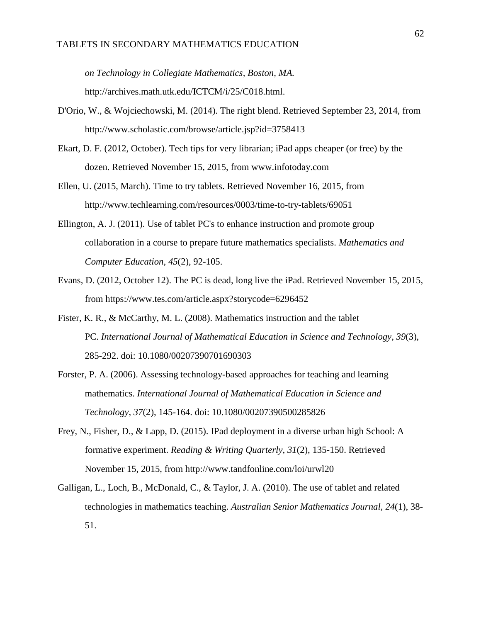*on Technology in Collegiate Mathematics, Boston, MA.*  http://archives.math.utk.edu/ICTCM/i/25/C018.html.

- D'Orio, W., & Wojciechowski, M. (2014). The right blend. Retrieved September 23, 2014, from http://www.scholastic.com/browse/article.jsp?id=3758413
- Ekart, D. F. (2012, October). Tech tips for very librarian; iPad apps cheaper (or free) by the dozen. Retrieved November 15, 2015, from www.infotoday.com
- Ellen, U. (2015, March). Time to try tablets. Retrieved November 16, 2015, from http://www.techlearning.com/resources/0003/time-to-try-tablets/69051
- Ellington, A. J. (2011). Use of tablet PC's to enhance instruction and promote group collaboration in a course to prepare future mathematics specialists. *Mathematics and Computer Education, 45*(2), 92-105.
- Evans, D. (2012, October 12). The PC is dead, long live the iPad. Retrieved November 15, 2015, from https://www.tes.com/article.aspx?storycode=6296452
- Fister, K. R., & McCarthy, M. L. (2008). Mathematics instruction and the tablet PC. *International Journal of Mathematical Education in Science and Technology, 39*(3), 285-292. doi: 10.1080/00207390701690303
- Forster, P. A. (2006). Assessing technology-based approaches for teaching and learning mathematics. *International Journal of Mathematical Education in Science and Technology, 37*(2), 145-164. doi: 10.1080/00207390500285826
- Frey, N., Fisher, D., & Lapp, D. (2015). IPad deployment in a diverse urban high School: A formative experiment. *Reading & Writing Quarterly, 31*(2), 135-150. Retrieved November 15, 2015, from http://www.tandfonline.com/loi/urwl20
- Galligan, L., Loch, B., McDonald, C., & Taylor, J. A. (2010). The use of tablet and related technologies in mathematics teaching. *Australian Senior Mathematics Journal, 24*(1), 38- 51.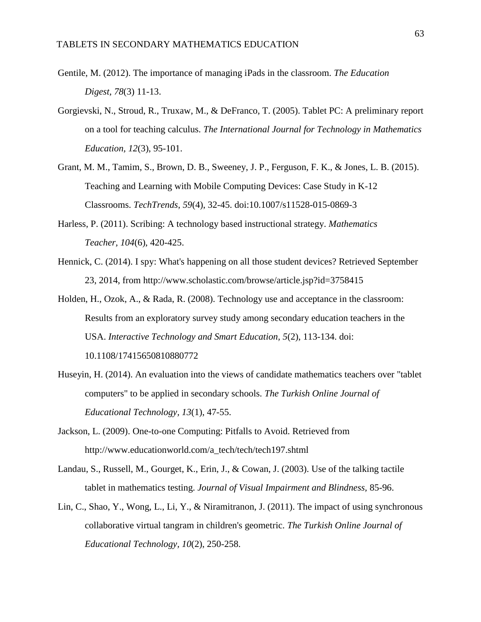- Gentile, M. (2012). The importance of managing iPads in the classroom. *The Education Digest, 78*(3) 11-13.
- Gorgievski, N., Stroud, R., Truxaw, M., & DeFranco, T. (2005). Tablet PC: A preliminary report on a tool for teaching calculus. *The International Journal for Technology in Mathematics Education, 12*(3), 95-101.
- Grant, M. M., Tamim, S., Brown, D. B., Sweeney, J. P., Ferguson, F. K., & Jones, L. B. (2015). Teaching and Learning with Mobile Computing Devices: Case Study in K-12 Classrooms. *TechTrends*, *59*(4), 32-45. doi:10.1007/s11528-015-0869-3
- Harless, P. (2011). Scribing: A technology based instructional strategy. *Mathematics Teacher, 104*(6), 420-425.
- Hennick, C. (2014). I spy: What's happening on all those student devices? Retrieved September 23, 2014, from http://www.scholastic.com/browse/article.jsp?id=3758415
- Holden, H., Ozok, A., & Rada, R. (2008). Technology use and acceptance in the classroom: Results from an exploratory survey study among secondary education teachers in the USA. *Interactive Technology and Smart Education, 5*(2), 113-134. doi: 10.1108/17415650810880772
- Huseyin, H. (2014). An evaluation into the views of candidate mathematics teachers over "tablet computers" to be applied in secondary schools. *The Turkish Online Journal of Educational Technology, 13*(1), 47-55.
- Jackson, L. (2009). One-to-one Computing: Pitfalls to Avoid. Retrieved from http://www.educationworld.com/a\_tech/tech/tech197.shtml
- Landau, S., Russell, M., Gourget, K., Erin, J., & Cowan, J. (2003). Use of the talking tactile tablet in mathematics testing. *Journal of Visual Impairment and Blindness,* 85-96.
- Lin, C., Shao, Y., Wong, L., Li, Y., & Niramitranon, J. (2011). The impact of using synchronous collaborative virtual tangram in children's geometric. *The Turkish Online Journal of Educational Technology, 10*(2), 250-258.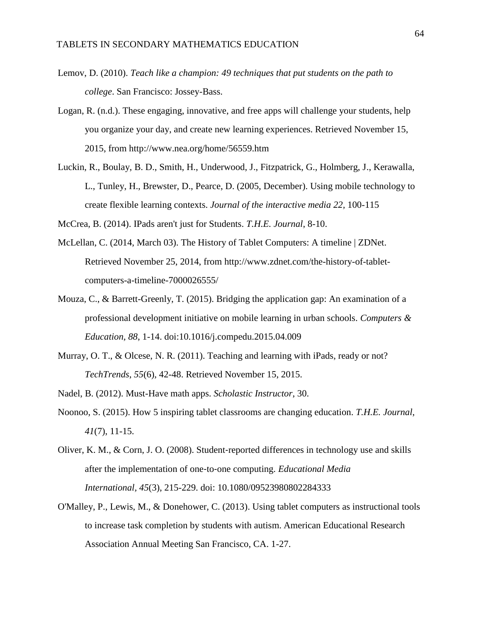- Lemov, D. (2010). *Teach like a champion: 49 techniques that put students on the path to college*. San Francisco: Jossey-Bass.
- Logan, R. (n.d.). These engaging, innovative, and free apps will challenge your students, help you organize your day, and create new learning experiences. Retrieved November 15, 2015, from http://www.nea.org/home/56559.htm
- Luckin, R., Boulay, B. D., Smith, H., Underwood, J., Fitzpatrick, G., Holmberg, J., Kerawalla, L., Tunley, H., Brewster, D., Pearce, D. (2005, December). Using mobile technology to create flexible learning contexts. *Journal of the interactive media 22,* 100-115

McCrea, B. (2014). IPads aren't just for Students. *T.H.E. Journal*, 8-10.

- McLellan, C. (2014, March 03). The History of Tablet Computers: A timeline | ZDNet. Retrieved November 25, 2014, from http://www.zdnet.com/the-history-of-tabletcomputers-a-timeline-7000026555/
- Mouza, C., & Barrett-Greenly, T. (2015). Bridging the application gap: An examination of a professional development initiative on mobile learning in urban schools. *Computers & Education, 88*, 1-14. doi:10.1016/j.compedu.2015.04.009
- Murray, O. T., & Olcese, N. R. (2011). Teaching and learning with iPads, ready or not? *TechTrends*, *55*(6), 42-48. Retrieved November 15, 2015.
- Nadel, B. (2012). Must-Have math apps. *Scholastic Instructor*, 30.
- Noonoo, S. (2015). How 5 inspiring tablet classrooms are changing education. *T.H.E. Journal*, *41*(7), 11-15.
- Oliver, K. M., & Corn, J. O. (2008). Student‐reported differences in technology use and skills after the implementation of one‐to‐one computing. *Educational Media International, 45*(3), 215-229. doi: 10.1080/09523980802284333
- O'Malley, P., Lewis, M., & Donehower, C. (2013). Using tablet computers as instructional tools to increase task completion by students with autism. American Educational Research Association Annual Meeting San Francisco, CA. 1-27.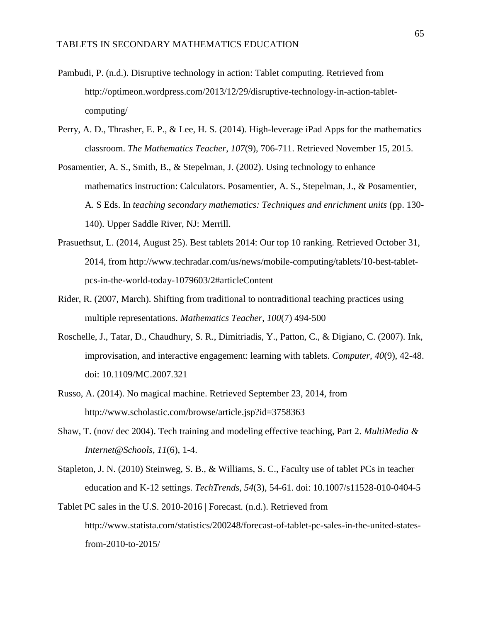- Pambudi, P. (n.d.). Disruptive technology in action: Tablet computing. Retrieved from http://optimeon.wordpress.com/2013/12/29/disruptive-technology-in-action-tabletcomputing/
- Perry, A. D., Thrasher, E. P., & Lee, H. S. (2014). High-leverage iPad Apps for the mathematics classroom. *The Mathematics Teacher*, *107*(9), 706-711. Retrieved November 15, 2015.
- Posamentier, A. S., Smith, B., & Stepelman, J. (2002). Using technology to enhance mathematics instruction: Calculators. Posamentier, A. S., Stepelman, J., & Posamentier, A. S Eds. In *teaching secondary mathematics: Techniques and enrichment units* (pp. 130- 140). Upper Saddle River, NJ: Merrill.
- Prasuethsut, L. (2014, August 25). Best tablets 2014: Our top 10 ranking. Retrieved October 31, 2014, from http://www.techradar.com/us/news/mobile-computing/tablets/10-best-tabletpcs-in-the-world-today-1079603/2#articleContent
- Rider, R. (2007, March). Shifting from traditional to nontraditional teaching practices using multiple representations. *Mathematics Teacher*, *100*(7) 494-500
- Roschelle, J., Tatar, D., Chaudhury, S. R., Dimitriadis, Y., Patton, C., & Digiano, C. (2007). Ink, improvisation, and interactive engagement: learning with tablets. *Computer, 40*(9), 42-48. doi: 10.1109/MC.2007.321
- Russo, A. (2014). No magical machine. Retrieved September 23, 2014, from http://www.scholastic.com/browse/article.jsp?id=3758363
- Shaw, T. (nov/ dec 2004). Tech training and modeling effective teaching, Part 2. *MultiMedia & Internet@Schools*, *11*(6), 1-4.
- Stapleton, J. N. (2010) Steinweg, S. B., & Williams, S. C., Faculty use of tablet PCs in teacher education and K-12 settings. *TechTrends, 54*(3), 54-61. doi: 10.1007/s11528-010-0404-5
- Tablet PC sales in the U.S. 2010-2016 | Forecast. (n.d.). Retrieved from http://www.statista.com/statistics/200248/forecast-of-tablet-pc-sales-in-the-united-statesfrom-2010-to-2015/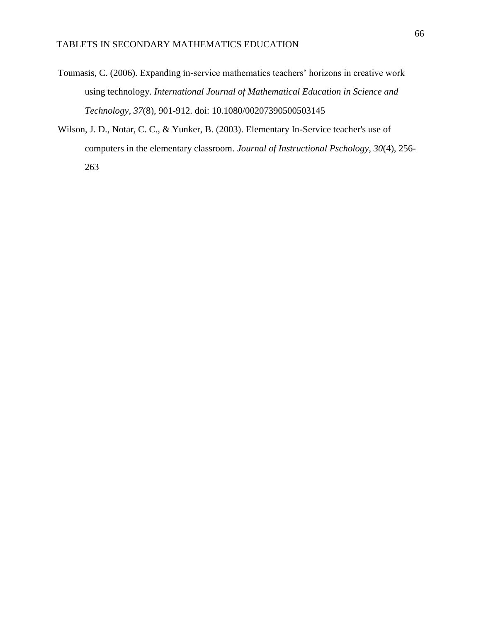- Toumasis, C. (2006). Expanding in-service mathematics teachers' horizons in creative work using technology. *International Journal of Mathematical Education in Science and Technology, 37*(8), 901-912. doi: 10.1080/00207390500503145
- Wilson, J. D., Notar, C. C., & Yunker, B. (2003). Elementary In-Service teacher's use of computers in the elementary classroom. *Journal of Instructional Pschology, 30*(4), 256- 263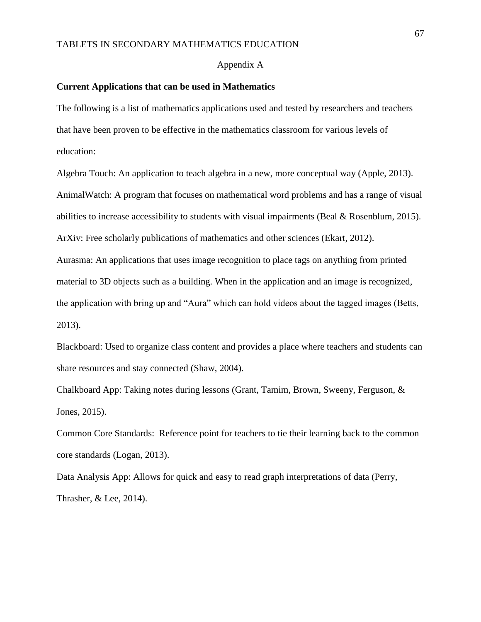#### Appendix A

#### **Current Applications that can be used in Mathematics**

The following is a list of mathematics applications used and tested by researchers and teachers that have been proven to be effective in the mathematics classroom for various levels of education:

Algebra Touch: An application to teach algebra in a new, more conceptual way (Apple, 2013). AnimalWatch: A program that focuses on mathematical word problems and has a range of visual abilities to increase accessibility to students with visual impairments (Beal & Rosenblum, 2015). ArXiv: Free scholarly publications of mathematics and other sciences (Ekart, 2012). Aurasma: An applications that uses image recognition to place tags on anything from printed material to 3D objects such as a building. When in the application and an image is recognized, the application with bring up and "Aura" which can hold videos about the tagged images (Betts, 2013).

Blackboard: Used to organize class content and provides a place where teachers and students can share resources and stay connected (Shaw, 2004).

Chalkboard App: Taking notes during lessons (Grant, Tamim, Brown, Sweeny, Ferguson, & Jones, 2015).

Common Core Standards: Reference point for teachers to tie their learning back to the common core standards (Logan, 2013).

Data Analysis App: Allows for quick and easy to read graph interpretations of data (Perry, Thrasher, & Lee, 2014).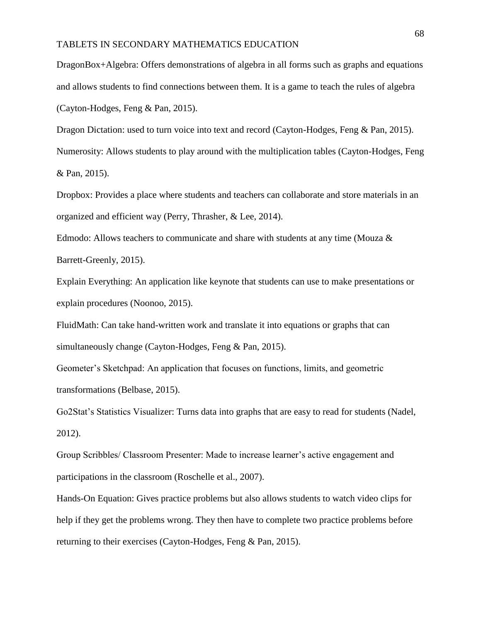DragonBox+Algebra: Offers demonstrations of algebra in all forms such as graphs and equations and allows students to find connections between them. It is a game to teach the rules of algebra (Cayton-Hodges, Feng & Pan, 2015).

Dragon Dictation: used to turn voice into text and record (Cayton-Hodges, Feng & Pan, 2015). Numerosity: Allows students to play around with the multiplication tables (Cayton-Hodges, Feng & Pan, 2015).

Dropbox: Provides a place where students and teachers can collaborate and store materials in an organized and efficient way (Perry, Thrasher, & Lee, 2014).

Edmodo: Allows teachers to communicate and share with students at any time (Mouza  $\&$ Barrett-Greenly, 2015).

Explain Everything: An application like keynote that students can use to make presentations or explain procedures (Noonoo, 2015).

FluidMath: Can take hand-written work and translate it into equations or graphs that can simultaneously change (Cayton-Hodges, Feng & Pan, 2015).

Geometer's Sketchpad: An application that focuses on functions, limits, and geometric transformations (Belbase, 2015).

Go2Stat's Statistics Visualizer: Turns data into graphs that are easy to read for students (Nadel, 2012).

Group Scribbles/ Classroom Presenter: Made to increase learner's active engagement and participations in the classroom (Roschelle et al., 2007).

Hands-On Equation: Gives practice problems but also allows students to watch video clips for help if they get the problems wrong. They then have to complete two practice problems before returning to their exercises (Cayton-Hodges, Feng & Pan, 2015).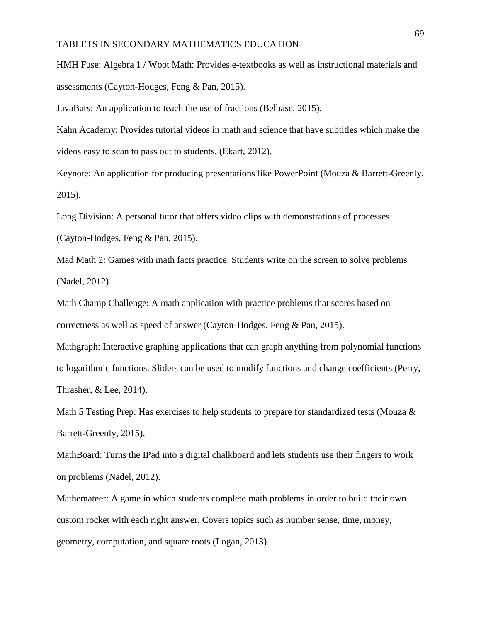HMH Fuse: Algebra 1 / Woot Math: Provides e-textbooks as well as instructional materials and assessments (Cayton-Hodges, Feng & Pan, 2015).

JavaBars: An application to teach the use of fractions (Belbase, 2015).

Kahn Academy: Provides tutorial videos in math and science that have subtitles which make the videos easy to scan to pass out to students. (Ekart, 2012).

Keynote: An application for producing presentations like PowerPoint (Mouza & Barrett-Greenly, 2015).

Long Division: A personal tutor that offers video clips with demonstrations of processes (Cayton-Hodges, Feng & Pan, 2015).

Mad Math 2: Games with math facts practice. Students write on the screen to solve problems (Nadel, 2012).

Math Champ Challenge: A math application with practice problems that scores based on correctness as well as speed of answer (Cayton-Hodges, Feng & Pan, 2015).

Mathgraph: Interactive graphing applications that can graph anything from polynomial functions to logarithmic functions. Sliders can be used to modify functions and change coefficients (Perry, Thrasher, & Lee, 2014).

Math 5 Testing Prep: Has exercises to help students to prepare for standardized tests (Mouza  $\&$ Barrett-Greenly, 2015).

MathBoard: Turns the IPad into a digital chalkboard and lets students use their fingers to work on problems (Nadel, 2012).

Mathemateer: A game in which students complete math problems in order to build their own custom rocket with each right answer. Covers topics such as number sense, time, money, geometry, computation, and square roots (Logan, 2013).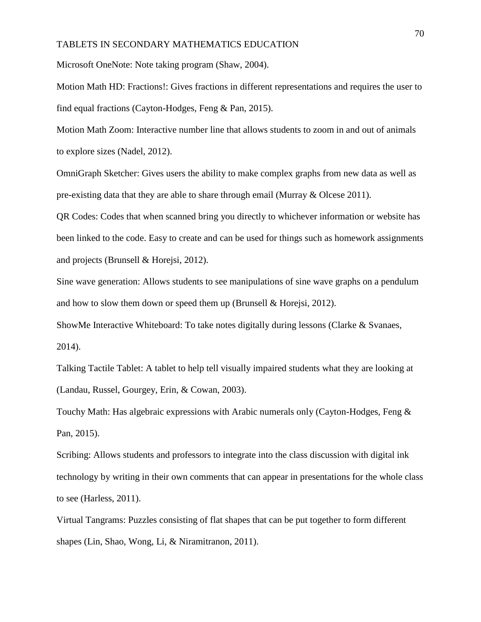Microsoft OneNote: Note taking program (Shaw, 2004).

Motion Math HD: Fractions!: Gives fractions in different representations and requires the user to find equal fractions (Cayton-Hodges, Feng & Pan, 2015).

Motion Math Zoom: Interactive number line that allows students to zoom in and out of animals to explore sizes (Nadel, 2012).

OmniGraph Sketcher: Gives users the ability to make complex graphs from new data as well as pre-existing data that they are able to share through email (Murray & Olcese 2011).

QR Codes: Codes that when scanned bring you directly to whichever information or website has been linked to the code. Easy to create and can be used for things such as homework assignments and projects (Brunsell & Horejsi, 2012).

Sine wave generation: Allows students to see manipulations of sine wave graphs on a pendulum and how to slow them down or speed them up (Brunsell  $&$  Horejsi, 2012).

ShowMe Interactive Whiteboard: To take notes digitally during lessons (Clarke & Svanaes, 2014).

Talking Tactile Tablet: A tablet to help tell visually impaired students what they are looking at (Landau, Russel, Gourgey, Erin, & Cowan, 2003).

Touchy Math: Has algebraic expressions with Arabic numerals only (Cayton-Hodges, Feng & Pan, 2015).

Scribing: Allows students and professors to integrate into the class discussion with digital ink technology by writing in their own comments that can appear in presentations for the whole class to see (Harless, 2011).

Virtual Tangrams: Puzzles consisting of flat shapes that can be put together to form different shapes (Lin, Shao, Wong, Li, & Niramitranon, 2011).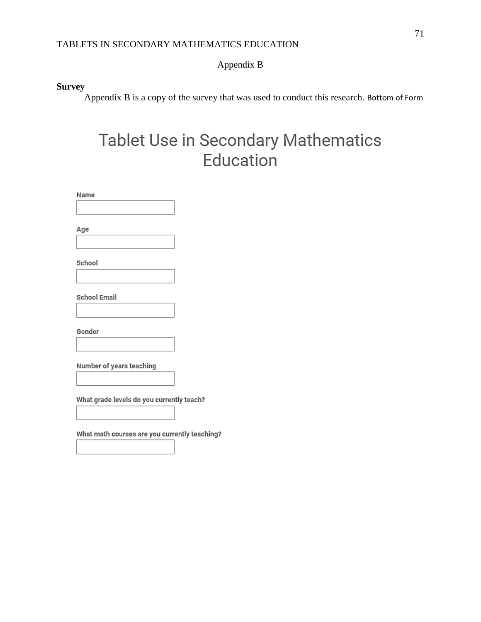# Appendix B

# **Survey**

Appendix B is a copy of the survey that was used to conduct this research. Bottom of Form

# Tablet Use in Secondary Mathematics Education

Name Age School **School Email** Gender Number of years teaching What grade levels do you currently teach? What math courses are you currently teaching?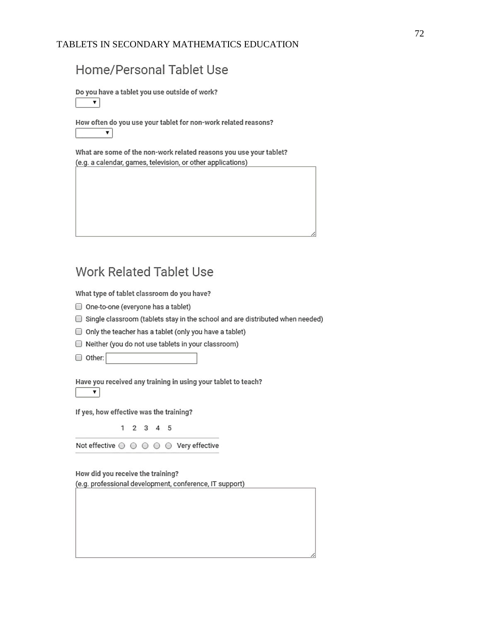### Home/Personal Tablet Use

Do you have a tablet you use outside of work?

 $\overline{\mathbf{r}}$ 

How often do you use your tablet for non-work related reasons? ▼.

What are some of the non-work related reasons you use your tablet? (e.g. a calendar, games, television, or other applications)

## **Work Related Tablet Use**

What type of tablet classroom do you have?

- One-to-one (everyone has a tablet)
- Single classroom (tablets stay in the school and are distributed when needed)
- Only the teacher has a tablet (only you have a tablet)
- Neither (you do not use tablets in your classroom)
- O Other:

Have you received any training in using your tablet to teach?  $\mathbf{v}$ 

If yes, how effective was the training?

 $1 2 3 4 5$ 

Not effective  $\odot$   $\odot$   $\odot$   $\odot$   $\odot$   $\odot$  Very effective

How did you receive the training? (e.g. professional development, conference, IT support)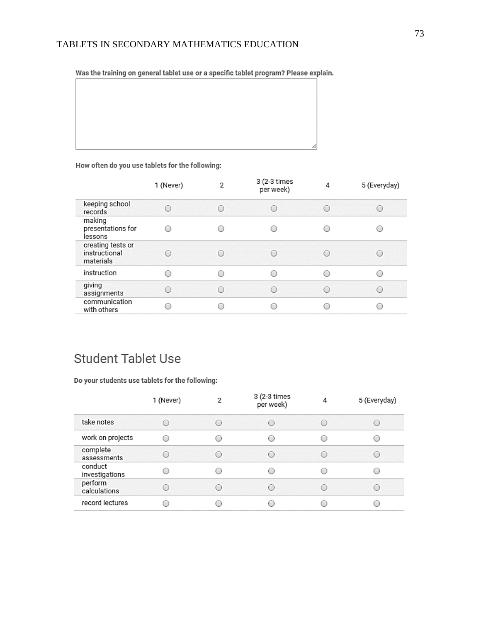Was the training on general tablet use or a specific tablet program? Please explain.

#### How often do you use tablets for the following:

| keeping school<br>∩<br>∩<br>O<br>∩<br>records                                         |                                               |
|---------------------------------------------------------------------------------------|-----------------------------------------------|
|                                                                                       | ⊖                                             |
| making<br>presentations for<br>◯<br>€<br>lessons                                      |                                               |
| creating tests or<br>instructional<br>∩<br>$\bigcirc$<br>$\bigcirc$<br>○<br>materials | $\bigcirc$                                    |
| instruction<br>∩<br>⌒<br>C<br>$\subset$                                               |                                               |
| giving<br>e<br>$\bigcirc$<br>$\bigcirc$<br>€<br>assignments                           | $\left( \begin{array}{c} \end{array} \right)$ |
| communication<br>c<br>С<br>C<br>with others                                           |                                               |

### **Student Tablet Use**

Do your students use tablets for the following:

|                           | 1 (Never) | 2         | 3 (2-3 times<br>per week)                     | 4      | 5 (Everyday)                                  |
|---------------------------|-----------|-----------|-----------------------------------------------|--------|-----------------------------------------------|
| take notes                | ∩         | $\bigcap$ | ◯                                             | $\cup$ | $\left( \quad \right)$                        |
| work on projects          | ∩         | ∩         | $\bigcirc$                                    | С      |                                               |
| complete<br>assessments   | ∩         | ∩         | ∩                                             | O      | ○                                             |
| conduct<br>investigations |           | ∩         | $\left( \begin{array}{c} \end{array} \right)$ | С      | 0                                             |
| perform<br>calculations   | C         | ∩         | ∩                                             | ∩      | $\left( \begin{array}{c} \end{array} \right)$ |
| record lectures           |           |           | c                                             |        |                                               |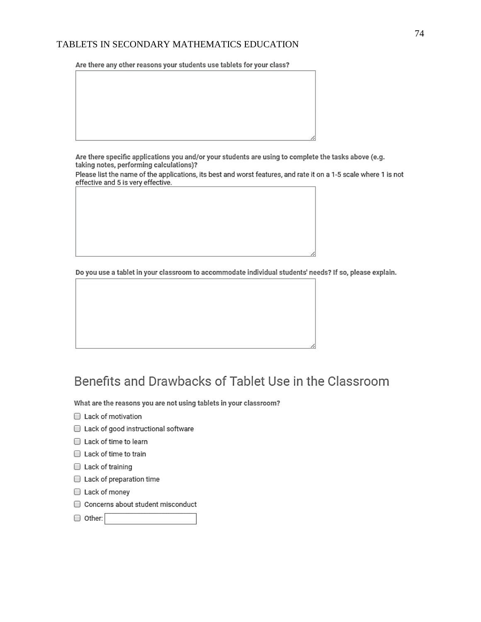Are there any other reasons your students use tablets for your class?

Are there specific applications you and/or your students are using to complete the tasks above (e.g. taking notes, performing calculations)?

Please list the name of the applications, its best and worst features, and rate it on a 1-5 scale where 1 is not effective and 5 is very effective.

Do you use a tablet in your classroom to accommodate individual students' needs? If so, please explain.

# Benefits and Drawbacks of Tablet Use in the Classroom

What are the reasons you are not using tablets in your classroom?

- Lack of motivation
- Lack of good instructional software
- Lack of time to learn
- Lack of time to train
- Lack of training
- Lack of preparation time
- Lack of money
- Concerns about student misconduct
- O Other: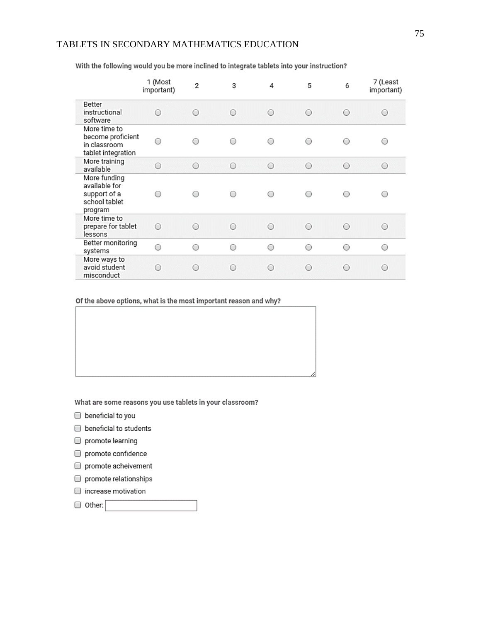|                                                                           | 1 (Most<br>important) | 2       | 3          | 4       | 5          | 6 | 7 (Least<br>important) |
|---------------------------------------------------------------------------|-----------------------|---------|------------|---------|------------|---|------------------------|
| Better<br>instructional<br>software                                       | Ο                     | ○       | $\bigcirc$ | O       | Ο          | ∩ | O                      |
| More time to<br>become proficient<br>in classroom<br>tablet integration   | ∩                     |         | ∩          | ∩       | ∩          |   | ∩                      |
| More training<br>available                                                | $\circ$               | $\circ$ | $\circ$    | $\circ$ | $\circ$    | О | $\circ$                |
| More funding<br>available for<br>support of a<br>school tablet<br>program | ∩                     |         | ∩          | ∩       | ∩          |   | ◯                      |
| More time to<br>prepare for tablet<br>lessons                             | $\bigcirc$            | ∩       | ∩          | ○       | $\bigcirc$ | ∩ | $\bigcirc$             |
| Better monitoring<br>systems                                              | O                     | ∩       | O          | O       | O          |   | O                      |
| More ways to<br>avoid student<br>misconduct                               | Ο                     | ∩       | ∩          | ∩       | Ο          |   | O                      |

With the following would you be more inclined to integrate tablets into your instruction?

Of the above options, what is the most important reason and why?

What are some reasons you use tablets in your classroom?

- beneficial to you
- beneficial to students
- promote learning
- promote confidence
- promote acheivement
- promote relationships
- increase motivation

other: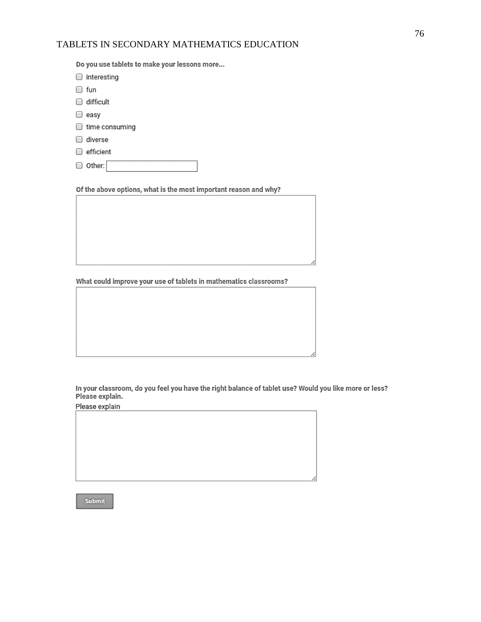Do you use tablets to make your lessons more...

| interesting    |  |
|----------------|--|
| ⊜ fun          |  |
| difficult      |  |
| □ easy         |  |
| time consuming |  |
| diverse        |  |
| efficient      |  |
| O Other:       |  |

Of the above options, what is the most important reason and why?

What could improve your use of tablets in mathematics classrooms?

In your classroom, do you feel you have the right balance of tablet use? Would you like more or less? Please explain.

Please explain

Submit